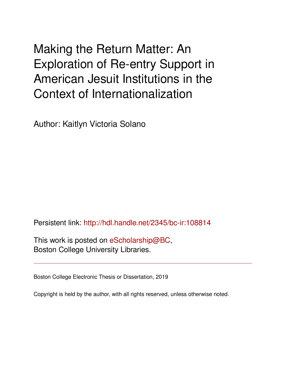# Making the Return Matter: An Exploration of Re-entry Support in American Jesuit Institutions in the Context of Internationalization

Author: Kaitlyn Victoria Solano

Persistent link: <http://hdl.handle.net/2345/bc-ir:108814>

This work is posted on [eScholarship@BC](http://escholarship.bc.edu), Boston College University Libraries.

Boston College Electronic Thesis or Dissertation, 2019

Copyright is held by the author, with all rights reserved, unless otherwise noted.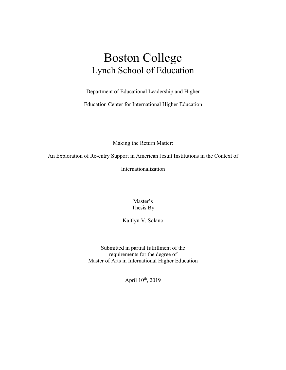## Boston College Lynch School of Education

Department of Educational Leadership and Higher

Education Center for International Higher Education

Making the Return Matter:

An Exploration of Re-entry Support in American Jesuit Institutions in the Context of

Internationalization

Master's Thesis By

Kaitlyn V. Solano

Submitted in partial fulfillment of the requirements for the degree of Master of Arts in International Higher Education

April 10<sup>th</sup>, 2019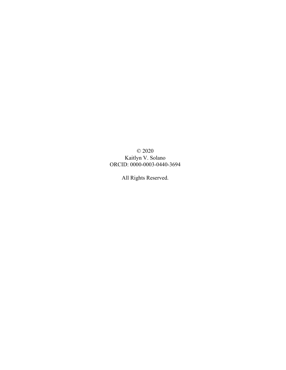© 2020 Kaitlyn V. Solano ORCID: 0000-0003-0440-3694

All Rights Reserved.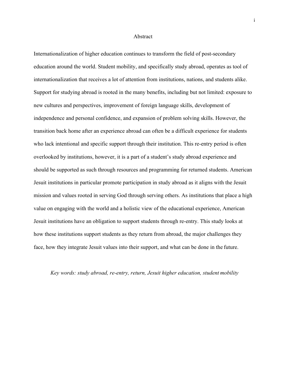#### Abstract

Internationalization of higher education continues to transform the field of post-secondary education around the world. Student mobility, and specifically study abroad, operates as tool of internationalization that receives a lot of attention from institutions, nations, and students alike. Support for studying abroad is rooted in the many benefits, including but not limited: exposure to new cultures and perspectives, improvement of foreign language skills, development of independence and personal confidence, and expansion of problem solving skills. However, the transition back home after an experience abroad can often be a difficult experience for students who lack intentional and specific support through their institution. This re-entry period is often overlooked by institutions, however, it is a part of a student's study abroad experience and should be supported as such through resources and programming for returned students. American Jesuit institutions in particular promote participation in study abroad as it aligns with the Jesuit mission and values rooted in serving God through serving others. As institutions that place a high value on engaging with the world and a holistic view of the educational experience, American Jesuit institutions have an obligation to support students through re-entry. This study looks at how these institutions support students as they return from abroad, the major challenges they face, how they integrate Jesuit values into their support, and what can be done in the future.

#### *Key words: study abroad, re-entry, return, Jesuit higher education, student mobility*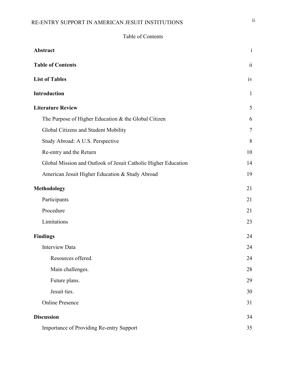## RE-ENTRY SUPPORT IN AMERICAN JESUIT INSTITUTIONS **ii**

Table of Contents

| Abstract                                                       | $\rm i$      |
|----------------------------------------------------------------|--------------|
| <b>Table of Contents</b>                                       | $\rm ii$     |
| <b>List of Tables</b>                                          | iv           |
| Introduction                                                   | $\mathbf{1}$ |
| <b>Literature Review</b>                                       | 5            |
| The Purpose of Higher Education & the Global Citizen           | 6            |
| Global Citizens and Student Mobility                           | $\tau$       |
| Study Abroad: A U.S. Perspective                               | 8            |
| Re-entry and the Return                                        | 10           |
| Global Mission and Outlook of Jesuit Catholic Higher Education | 14           |
| American Jesuit Higher Education & Study Abroad                | 19           |
| <b>Methodology</b>                                             | 21           |
| Participants                                                   | 21           |
| Procedure                                                      | 21           |
| Limitations                                                    | 23           |
| <b>Findings</b>                                                | 24           |
| <b>Interview Data</b>                                          | 24           |
| Resources offered.                                             | 24           |
| Main challenges.                                               | 28           |
| Future plans.                                                  | 29           |
| Jesuit ties.                                                   | 30           |
| <b>Online Presence</b>                                         | 31           |
| <b>Discussion</b>                                              | 34           |
| Importance of Providing Re-entry Support                       | 35           |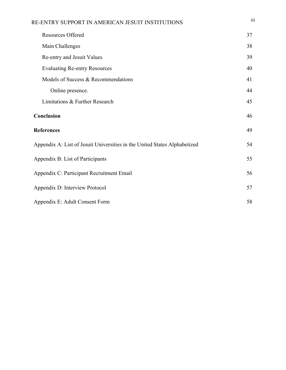| RE-ENTRY SUPPORT IN AMERICAN JESUIT INSTITUTIONS                          | 111 |  |  |  |  |
|---------------------------------------------------------------------------|-----|--|--|--|--|
| Resources Offered                                                         | 37  |  |  |  |  |
| Main Challenges                                                           | 38  |  |  |  |  |
| Re-entry and Jesuit Values                                                | 39  |  |  |  |  |
| <b>Evaluating Re-entry Resources</b>                                      | 40  |  |  |  |  |
| Models of Success & Recommendations                                       | 41  |  |  |  |  |
| Online presence.                                                          | 44  |  |  |  |  |
| Limitations & Further Research                                            | 45  |  |  |  |  |
| Conclusion                                                                |     |  |  |  |  |
| <b>References</b>                                                         | 49  |  |  |  |  |
| Appendix A: List of Jesuit Universities in the United States Alphabetized | 54  |  |  |  |  |
| Appendix B: List of Participants                                          | 55  |  |  |  |  |
| Appendix C: Participant Recruitment Email                                 | 56  |  |  |  |  |
| Appendix D: Interview Protocol                                            | 57  |  |  |  |  |
| Appendix E: Adult Consent Form                                            | 58  |  |  |  |  |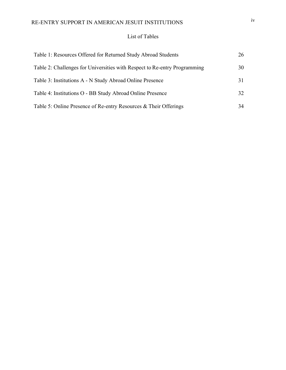## RE-ENTRY SUPPORT IN AMERICAN JESUIT INSTITUTIONS iv

#### List of Tables

| Table 1: Resources Offered for Returned Study Abroad Students             | 26 |
|---------------------------------------------------------------------------|----|
| Table 2: Challenges for Universities with Respect to Re-entry Programming | 30 |
| Table 3: Institutions A - N Study Abroad Online Presence                  | 31 |
| Table 4: Institutions O - BB Study Abroad Online Presence                 | 32 |
| Table 5: Online Presence of Re-entry Resources & Their Offerings          | 34 |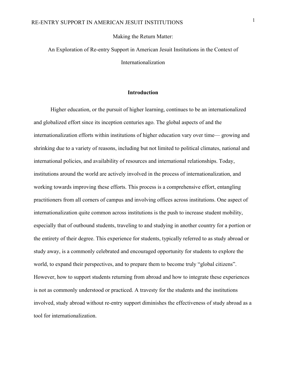#### Making the Return Matter:

## An Exploration of Re-entry Support in American Jesuit Institutions in the Context of Internationalization

#### **Introduction**

Higher education, or the pursuit of higher learning, continues to be an internationalized and globalized effort since its inception centuries ago. The global aspects of and the internationalization efforts within institutions of higher education vary over time— growing and shrinking due to a variety of reasons, including but not limited to political climates, national and international policies, and availability of resources and international relationships. Today, institutions around the world are actively involved in the process of internationalization, and working towards improving these efforts. This process is a comprehensive effort, entangling practitioners from all corners of campus and involving offices across institutions. One aspect of internationalization quite common across institutions is the push to increase student mobility, especially that of outbound students, traveling to and studying in another country for a portion or the entirety of their degree. This experience for students, typically referred to as study abroad or study away, is a commonly celebrated and encouraged opportunity for students to explore the world, to expand their perspectives, and to prepare them to become truly "global citizens". However, how to support students returning from abroad and how to integrate these experiences is not as commonly understood or practiced. A travesty for the students and the institutions involved, study abroad without re-entry support diminishes the effectiveness of study abroad as a tool for internationalization.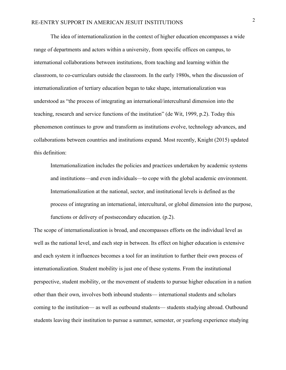The idea of internationalization in the context of higher education encompasses a wide range of departments and actors within a university, from specific offices on campus, to international collaborations between institutions, from teaching and learning within the classroom, to co-curriculars outside the classroom. In the early 1980s, when the discussion of internationalization of tertiary education began to take shape, internationalization was understood as "the process of integrating an international/intercultural dimension into the teaching, research and service functions of the institution" (de Wit, 1999, p.2). Today this phenomenon continues to grow and transform as institutions evolve, technology advances, and collaborations between countries and institutions expand. Most recently, Knight (2015) updated this definition:

Internationalization includes the policies and practices undertaken by academic systems and institutions—and even individuals—to cope with the global academic environment. Internationalization at the national, sector, and institutional levels is defined as the process of integrating an international, intercultural, or global dimension into the purpose, functions or delivery of postsecondary education. (p.2).

The scope of internationalization is broad, and encompasses efforts on the individual level as well as the national level, and each step in between. Its effect on higher education is extensive and each system it influences becomes a tool for an institution to further their own process of internationalization. Student mobility is just one of these systems. From the institutional perspective, student mobility, or the movement of students to pursue higher education in a nation other than their own, involves both inbound students— international students and scholars coming to the institution— as well as outbound students— students studying abroad. Outbound students leaving their institution to pursue a summer, semester, or yearlong experience studying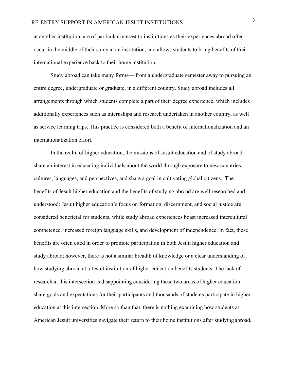at another institution, are of particular interest to institutions as their experiences abroad often occur in the middle of their study at an institution, and allows students to bring benefits of their international experience back to their home institution.

Study abroad can take many forms— from a undergraduate semester away to pursuing an entire degree, undergraduate or graduate, in a different country. Study abroad includes all arrangements through which students complete a part of their degree experience, which includes additionally experiences such as internships and research undertaken in another country, as well as service learning trips. This practice is considered both a benefit of internationalization and an internationalization effort.

In the realm of higher education, the missions of Jesuit education and of study abroad share an interest in educating individuals about the world through exposure to new countries, cultures, languages, and perspectives, and share a goal in cultivating global citizens. The benefits of Jesuit higher education and the benefits of studying abroad are well researched and understood: Jesuit higher education's focus on formation, discernment, and social justice are considered beneficial for students, while study abroad experiences boast increased intercultural competence, increased foreign language skills, and development of independence. In fact, these benefits are often cited in order to promote participation in both Jesuit higher education and study abroad; however, there is not a similar breadth of knowledge or a clear understanding of how studying abroad at a Jesuit institution of higher education benefits students. The lack of research at this intersection is disappointing considering these two areas of higher education share goals and expectations for their participants and thousands of students participate in higher education at this intersection. More so than that, there is nothing examining how students at American Jesuit universities navigate their return to their home institutions after studying abroad,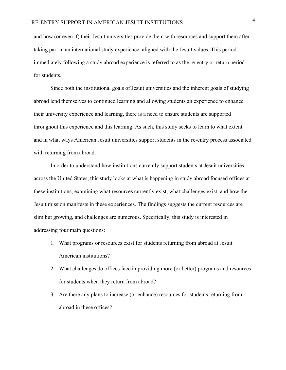and how (or even if) their Jesuit universities provide them with resources and support them after taking part in an international study experience, aligned with the Jesuit values. This period immediately following a study abroad experience is referred to as the re-entry or return period for students.

Since both the institutional goals of Jesuit universities and the inherent goals of studying abroad lend themselves to continued learning and allowing students an experience to enhance their university experience and learning, there is a need to ensure students are supported throughout this experience and this learning. As such, this study seeks to learn to what extent and in what ways American Jesuit universities support students in the re-entry process associated with returning from abroad.

In order to understand how institutions currently support students at Jesuit universities across the United States, this study looks at what is happening in study abroad focused offices at these institutions, examining what resources currently exist, what challenges exist, and how the Jesuit mission manifests in these experiences. The findings suggests the current resources are slim but growing, and challenges are numerous. Specifically, this study is interested in addressing four main questions:

- 1. What programs or resources exist for students returning from abroad at Jesuit American institutions?
- 2. What challenges do offices face in providing more (or better) programs and resources for students when they return from abroad?
- 3. Are there any plans to increase (or enhance) resources for students returning from abroad in these offices?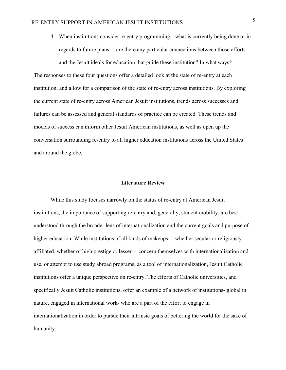4. When institutions consider re-entry programming-- what is currently being done or in regards to future plans— are there any particular connections between those efforts and the Jesuit ideals for education that guide these institution? In what ways?

The responses to these four questions offer a detailed look at the state of re-entry at each institution, and allow for a comparison of the state of re-entry across institutions. By exploring the current state of re-entry across American Jesuit institutions, trends across successes and failures can be assessed and general standards of practice can be created. These trends and models of success can inform other Jesuit American institutions, as well as open up the conversation surrounding re-entry to all higher education institutions across the United States and around the globe.

#### **Literature Review**

While this study focuses narrowly on the status of re-entry at American Jesuit institutions, the importance of supporting re-entry and, generally, student mobility, are best understood through the broader lens of internationalization and the current goals and purpose of higher education. While institutions of all kinds of makeups— whether secular or religiously affiliated, whether of high prestige or lesser— concern themselves with internationalization and use, or attempt to use study abroad programs, as a tool of internationalization, Jesuit Catholic institutions offer a unique perspective on re-entry. The efforts of Catholic universities, and specifically Jesuit Catholic institutions, offer an example of a network of institutions- global in nature, engaged in international work- who are a part of the effort to engage in internationalization in order to pursue their intrinsic goals of bettering the world for the sake of humanity.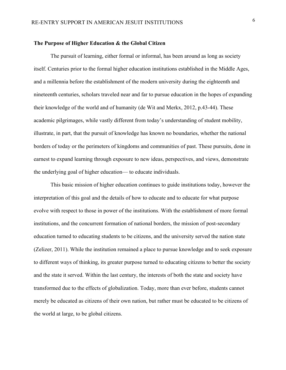#### **The Purpose of Higher Education & the Global Citizen**

The pursuit of learning, either formal or informal, has been around as long as society itself. Centuries prior to the formal higher education institutions established in the Middle Ages, and a millennia before the establishment of the modern university during the eighteenth and nineteenth centuries, scholars traveled near and far to pursue education in the hopes of expanding their knowledge of the world and of humanity (de Wit and Merkx, 2012, p.43-44). These academic pilgrimages, while vastly different from today's understanding of student mobility, illustrate, in part, that the pursuit of knowledge has known no boundaries, whether the national borders of today or the perimeters of kingdoms and communities of past. These pursuits, done in earnest to expand learning through exposure to new ideas, perspectives, and views, demonstrate the underlying goal of higher education— to educate individuals.

This basic mission of higher education continues to guide institutions today, however the interpretation of this goal and the details of how to educate and to educate for what purpose evolve with respect to those in power of the institutions. With the establishment of more formal institutions, and the concurrent formation of national borders, the mission of post-secondary education turned to educating students to be citizens, and the university served the nation state (Zelizer, 2011). While the institution remained a place to pursue knowledge and to seek exposure to different ways of thinking, its greater purpose turned to educating citizens to better the society and the state it served. Within the last century, the interests of both the state and society have transformed due to the effects of globalization. Today, more than ever before, students cannot merely be educated as citizens of their own nation, but rather must be educated to be citizens of the world at large, to be global citizens.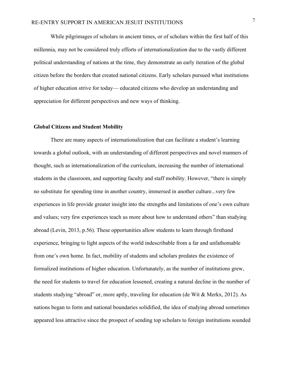While pilgrimages of scholars in ancient times, or of scholars within the first half of this millennia, may not be considered truly efforts of internationalization due to the vastly different political understanding of nations at the time, they demonstrate an early iteration of the global citizen before the borders that created national citizens. Early scholars pursued what institutions of higher education strive for today— educated citizens who develop an understanding and appreciation for different perspectives and new ways of thinking.

#### **Global Citizens and Student Mobility**

There are many aspects of internationalization that can facilitate a student's learning towards a global outlook, with an understanding of different perspectives and novel manners of thought, such as internationalization of the curriculum, increasing the number of international students in the classroom, and supporting faculty and staff mobility. However, "there is simply no substitute for spending time in another country, immersed in another culture...very few experiences in life provide greater insight into the strengths and limitations of one's own culture and values; very few experiences teach us more about how to understand others" than studying abroad (Levin, 2013, p.56). These opportunities allow students to learn through firsthand experience, bringing to light aspects of the world indescribable from a far and unfathomable from one's own home. In fact, mobility of students and scholars predates the existence of formalized institutions of higher education. Unfortunately, as the number of institutions grew, the need for students to travel for education lessened, creating a natural decline in the number of students studying "abroad" or, more aptly, traveling for education (de Wit & Merkx, 2012). As nations began to form and national boundaries solidified, the idea of studying abroad sometimes appeared less attractive since the prospect of sending top scholars to foreign institutions sounded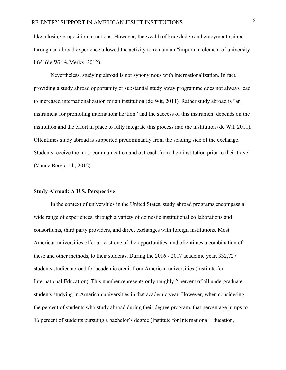like a losing proposition to nations. However, the wealth of knowledge and enjoyment gained through an abroad experience allowed the activity to remain an "important element of university life" (de Wit & Merkx, 2012).

Nevertheless, studying abroad is not synonymous with internationalization. In fact, providing a study abroad opportunity or substantial study away programme does not always lead to increased internationalization for an institution (de Wit, 2011). Rather study abroad is "an instrument for promoting internationalization" and the success of this instrument depends on the institution and the effort in place to fully integrate this process into the institution (de Wit, 2011). Oftentimes study abroad is supported predominantly from the sending side of the exchange. Students receive the most communication and outreach from their institution prior to their travel (Vande Berg et al., 2012).

#### **Study Abroad: A U.S. Perspective**

In the context of universities in the United States, study abroad programs encompass a wide range of experiences, through a variety of domestic institutional collaborations and consortiums, third party providers, and direct exchanges with foreign institutions. Most American universities offer at least one of the opportunities, and oftentimes a combination of these and other methods, to their students. During the 2016 - 2017 academic year, 332,727 students studied abroad for academic credit from American universities (Institute for International Education). This number represents only roughly 2 percent of all undergraduate students studying in American universities in that academic year. However, when considering the percent of students who study abroad during their degree program, that percentage jumps to 16 percent of students pursuing a bachelor's degree (Institute for International Education,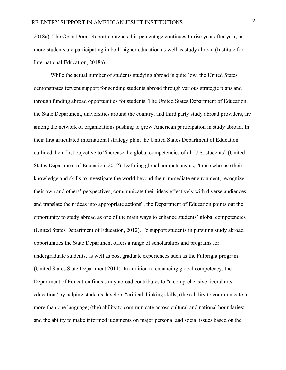2018a). The Open Doors Report contends this percentage continues to rise year after year, as more students are participating in both higher education as well as study abroad (Institute for International Education, 2018a).

While the actual number of students studying abroad is quite low, the United States demonstrates fervent support for sending students abroad through various strategic plans and through funding abroad opportunities for students. The United States Department of Education, the State Department, universities around the country, and third party study abroad providers, are among the network of organizations pushing to grow American participation in study abroad. In their first articulated international strategy plan, the United States Department of Education outlined their first objective to "increase the global competencies of all U.S. students" (United States Department of Education, 2012). Defining global competency as, "those who use their knowledge and skills to investigate the world beyond their immediate environment, recognize their own and others' perspectives, communicate their ideas effectively with diverse audiences, and translate their ideas into appropriate actions", the Department of Education points out the opportunity to study abroad as one of the main ways to enhance students' global competencies (United States Department of Education, 2012). To support students in pursuing study abroad opportunities the State Department offers a range of scholarships and programs for undergraduate students, as well as post graduate experiences such as the Fulbright program (United States State Department 2011). In addition to enhancing global competency, the Department of Education finds study abroad contributes to "a comprehensive liberal arts education" by helping students develop, "critical thinking skills; (the) ability to communicate in more than one language; (the) ability to communicate across cultural and national boundaries; and the ability to make informed judgments on major personal and social issues based on the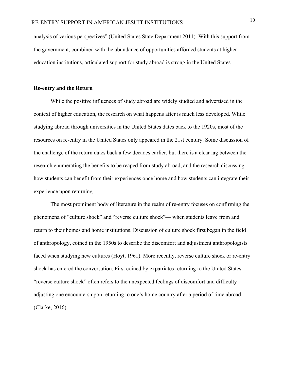analysis of various perspectives" (United States State Department 2011). With this support from the government, combined with the abundance of opportunities afforded students at higher education institutions, articulated support for study abroad is strong in the United States.

#### **Re-entry and the Return**

While the positive influences of study abroad are widely studied and advertised in the context of higher education, the research on what happens after is much less developed. While studying abroad through universities in the United States dates back to the 1920s, most of the resources on re-entry in the United States only appeared in the 21st century. Some discussion of the challenge of the return dates back a few decades earlier, but there is a clear lag between the research enumerating the benefits to be reaped from study abroad, and the research discussing how students can benefit from their experiences once home and how students can integrate their experience upon returning.

The most prominent body of literature in the realm of re-entry focuses on confirming the phenomena of "culture shock" and "reverse culture shock"— when students leave from and return to their homes and home institutions. Discussion of culture shock first began in the field of anthropology, coined in the 1950s to describe the discomfort and adjustment anthropologists faced when studying new cultures (Hoyt, 1961). More recently, reverse culture shock or re-entry shock has entered the conversation. First coined by expatriates returning to the United States, "reverse culture shock" often refers to the unexpected feelings of discomfort and difficulty adjusting one encounters upon returning to one's home country after a period of time abroad (Clarke, 2016).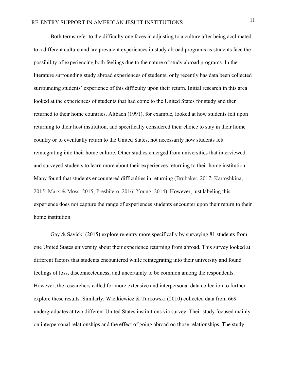Both terms refer to the difficulty one faces in adjusting to a culture after being acclimated to a different culture and are prevalent experiences in study abroad programs as students face the possibility of experiencing both feelings due to the nature of study abroad programs. In the literature surrounding study abroad experiences of students, only recently has data been collected surrounding students' experience of this difficulty upon their return. Initial research in this area looked at the experiences of students that had come to the United States for study and then returned to their home countries. Altbach (1991), for example, looked at how students felt upon returning to their host institution, and specifically considered their choice to stay in their home country or to eventually return to the United States, not necessarily how students felt reintegrating into their home culture. Other studies emerged from universities that interviewed and surveyed students to learn more about their experiences returning to their home institution. Many found that students encountered difficulties in returning (Brubaker, 2017; Kartoshkina, 2015; Marx & Moss, 2015; Presbitero, 2016; Young, 2014). However, just labeling this experience does not capture the range of experiences students encounter upon their return to their home institution.

Gay & Savicki (2015) explore re-entry more specifically by surveying 81 students from one United States university about their experience returning from abroad. This survey looked at different factors that students encountered while reintegrating into their university and found feelings of loss, disconnectedness, and uncertainty to be common among the respondents. However, the researchers called for more extensive and interpersonal data collection to further explore these results. Similarly, Wielkiewicz & Turkowski (2010) collected data from 669 undergraduates at two different United States institutions via survey. Their study focused mainly on interpersonal relationships and the effect of going abroad on those relationships. The study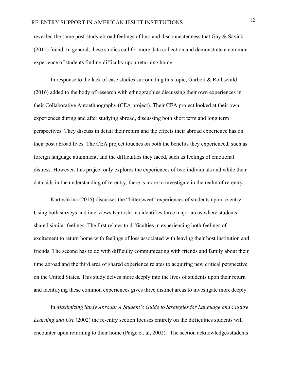revealed the same post-study abroad feelings of loss and disconnectedness that Gay & Savicki (2015) found. In general, these studies call for more data collection and demonstrate a common experience of students finding difficulty upon returning home.

In response to the lack of case studies surrounding this topic, Garboti  $& \text{Rothschild}$ (2016) added to the body of research with ethnographies discussing their own experiences in their Collaborative Autoethnography (CEA project). Their CEA project looked at their own experiences during and after studying abroad, discussing both short term and long term perspectives. They discuss in detail their return and the effects their abroad experience has on their post abroad lives. The CEA project touches on both the benefits they experienced, such as foreign language attainment, and the difficulties they faced, such as feelings of emotional distress. However, this project only explores the experiences of two individuals and while their data aids in the understanding of re-entry, there is more to investigate in the realm of re-entry.

Kartoshkina (2015) discusses the "bittersweet" experiences of students upon re-entry. Using both surveys and interviews Kartoshkina identifies three major areas where students shared similar feelings. The first relates to difficulties in experiencing both feelings of excitement to return home with feelings of loss associated with leaving their host institution and friends. The second has to do with difficulty communicating with friends and family about their time abroad and the third area of shared experience relates to acquiring new critical perspective on the United States. This study delves more deeply into the lives of students upon their return and identifying these common experiences gives three distinct areas to investigate more deeply.

In *Maximizing Study Abroad: A Student's Guide to Strategies for Language and Culture Learning and Use* (2002) the re-entry section focuses entirely on the difficulties students will encounter upon returning to their home (Paige et. al, 2002). The section acknowledges students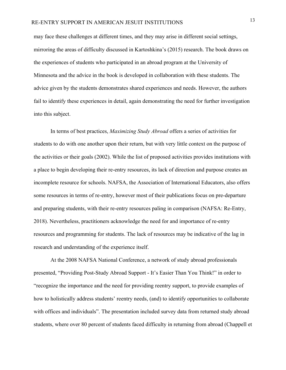may face these challenges at different times, and they may arise in different social settings, mirroring the areas of difficulty discussed in Kartoshkina's (2015) research. The book draws on the experiences of students who participated in an abroad program at the University of Minnesota and the advice in the book is developed in collaboration with these students. The advice given by the students demonstrates shared experiences and needs. However, the authors fail to identify these experiences in detail, again demonstrating the need for further investigation into this subject.

In terms of best practices, *Maximizing Study Abroad* offers a series of activities for students to do with one another upon their return, but with very little context on the purpose of the activities or their goals (2002). While the list of proposed activities provides institutions with a place to begin developing their re-entry resources, its lack of direction and purpose creates an incomplete resource for schools. NAFSA, the Association of International Educators, also offers some resources in terms of re-entry, however most of their publications focus on pre-departure and preparing students, with their re-entry resources paling in comparison (NAFSA: Re-Entry, 2018). Nevertheless, practitioners acknowledge the need for and importance of re-entry resources and programming for students. The lack of resources may be indicative of the lag in research and understanding of the experience itself.

At the 2008 NAFSA National Conference, a network of study abroad professionals presented, "Providing Post-Study Abroad Support - It's Easier Than You Think!" in order to "recognize the importance and the need for providing reentry support, to provide examples of how to holistically address students' reentry needs, (and) to identify opportunities to collaborate with offices and individuals". The presentation included survey data from returned study abroad students, where over 80 percent of students faced difficulty in returning from abroad (Chappell et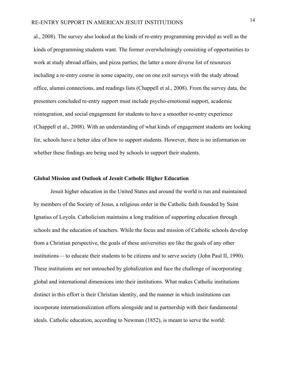al., 2008). The survey also looked at the kinds of re-entry programming provided as well as the kinds of programming students want. The former overwhelmingly consisting of opportunities to work at study abroad affairs, and pizza parties; the latter a more diverse list of resources including a re-entry course in some capacity, one on one exit surveys with the study abroad office, alumni connections, and readings lists (Chappell et al., 2008). From the survey data, the presenters concluded re-entry support must include psycho-emotional support, academic reintegration, and social engagement for students to have a smoother re-entry experience (Chappell et al., 2008). With an understanding of what kinds of engagement students are looking for, schools have a better idea of how to support students. However, there is no information on whether these findings are being used by schools to support their students.

#### **Global Mission and Outlook of Jesuit Catholic Higher Education**

Jesuit higher education in the United States and around the world is run and maintained by members of the Society of Jesus, a religious order in the Catholic faith founded by Saint Ignatius of Loyola. Catholicism maintains a long tradition of supporting education through schools and the education of teachers. While the focus and mission of Catholic schools develop from a Christian perspective, the goals of these universities are like the goals of any other institutions— to educate their students to be citizens and to serve society (John Paul II, 1990). These institutions are not untouched by globalization and face the challenge of incorporating global and international dimensions into their institutions. What makes Catholic institutions distinct in this effort is their Christian identity, and the manner in which institutions can incorporate internationalization efforts alongside and in partnership with their fundamental ideals. Catholic education, according to Newman (1852), is meant to serve the world: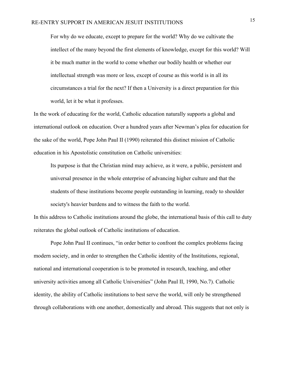For why do we educate, except to prepare for the world? Why do we cultivate the intellect of the many beyond the first elements of knowledge, except for this world? Will it be much matter in the world to come whether our bodily health or whether our intellectual strength was more or less, except of course as this world is in all its circumstances a trial for the next? If then a University is a direct preparation for this world, let it be what it professes.

In the work of educating for the world, Catholic education naturally supports a global and international outlook on education. Over a hundred years after Newman's plea for education for the sake of the world, Pope John Paul II (1990) reiterated this distinct mission of Catholic education in his Apostolistic constitution on Catholic universities:

Its purpose is that the Christian mind may achieve, as it were, a public, persistent and universal presence in the whole enterprise of advancing higher culture and that the students of these institutions become people outstanding in learning, ready to shoulder society's heavier burdens and to witness the faith to the world.

In this address to Catholic institutions around the globe, the international basis of this call to duty reiterates the global outlook of Catholic institutions of education.

Pope John Paul II continues, "in order better to confront the complex problems facing modern society, and in order to strengthen the Catholic identity of the Institutions, regional, national and international cooperation is to be promoted in research, teaching, and other university activities among all Catholic Universities" (John Paul II, 1990, No.7). Catholic identity, the ability of Catholic institutions to best serve the world, will only be strengthened through collaborations with one another, domestically and abroad. This suggests that not only is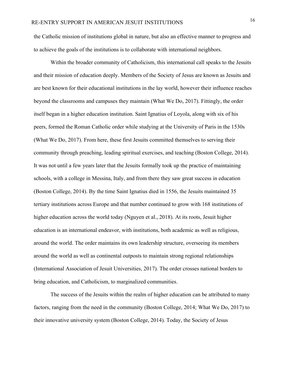the Catholic mission of institutions global in nature, but also an effective manner to progress and to achieve the goals of the institutions is to collaborate with international neighbors.

Within the broader community of Catholicism, this international call speaks to the Jesuits and their mission of education deeply. Members of the Society of Jesus are known as Jesuits and are best known for their educational institutions in the lay world, however their influence reaches beyond the classrooms and campuses they maintain (What We Do, 2017). Fittingly, the order itself began in a higher education institution. Saint Ignatius of Loyola, along with six of his peers, formed the Roman Catholic order while studying at the University of Paris in the 1530s (What We Do, 2017). From here, these first Jesuits committed themselves to serving their community through preaching, leading spiritual exercises, and teaching (Boston College, 2014). It was not until a few years later that the Jesuits formally took up the practice of maintaining schools, with a college in Messina, Italy, and from there they saw great success in education (Boston College, 2014). By the time Saint Ignatius died in 1556, the Jesuits maintained 35 tertiary institutions across Europe and that number continued to grow with 168 institutions of higher education across the world today (Nguyen et al., 2018). At its roots, Jesuit higher education is an international endeavor, with institutions, both academic as well as religious, around the world. The order maintains its own leadership structure, overseeing its members around the world as well as continental outposts to maintain strong regional relationships (International Association of Jesuit Universities, 2017). The order crosses national borders to bring education, and Catholicism, to marginalized communities.

The success of the Jesuits within the realm of higher education can be attributed to many factors, ranging from the need in the community (Boston College, 2014; What We Do, 2017) to their innovative university system (Boston College, 2014). Today, the Society of Jesus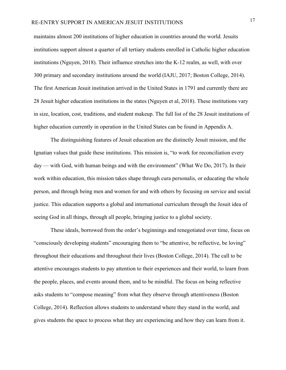maintains almost 200 institutions of higher education in countries around the world. Jesuits institutions support almost a quarter of all tertiary students enrolled in Catholic higher education institutions (Nguyen, 2018). Their influence stretches into the K-12 realm, as well, with over 300 primary and secondary institutions around the world (IAJU, 2017; Boston College, 2014). The first American Jesuit institution arrived in the United States in 1791 and currently there are 28 Jesuit higher education institutions in the states (Nguyen et al, 2018). These institutions vary in size, location, cost, traditions, and student makeup. The full list of the 28 Jesuit institutions of higher education currently in operation in the United States can be found in Appendix A.

The distinguishing features of Jesuit education are the distinctly Jesuit mission, and the Ignatian values that guide these institutions. This mission is, "to work for reconciliation every day — with God, with human beings and with the environment" (What We Do, 2017). In their work within education, this mission takes shape through cura personalis, or educating the whole person, and through being men and women for and with others by focusing on service and social justice. This education supports a global and international curriculum through the Jesuit idea of seeing God in all things, through all people, bringing justice to a global society.

These ideals, borrowed from the order's beginnings and renegotiated over time, focus on "consciously developing students" encouraging them to "be attentive, be reflective, be loving" throughout their educations and throughout their lives (Boston College, 2014). The call to be attentive encourages students to pay attention to their experiences and their world, to learn from the people, places, and events around them, and to be mindful. The focus on being reflective asks students to "compose meaning" from what they observe through attentiveness (Boston College, 2014). Reflection allows students to understand where they stand in the world, and gives students the space to process what they are experiencing and how they can learn from it.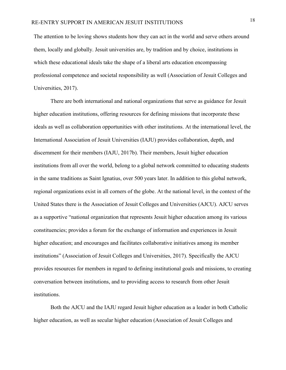The attention to be loving shows students how they can act in the world and serve others around them, locally and globally. Jesuit universities are, by tradition and by choice, institutions in which these educational ideals take the shape of a liberal arts education encompassing professional competence and societal responsibility as well (Association of Jesuit Colleges and Universities, 2017).

There are both international and national organizations that serve as guidance for Jesuit higher education institutions, offering resources for defining missions that incorporate these ideals as well as collaboration opportunities with other institutions. At the international level, the International Association of Jesuit Universities (IAJU) provides collaboration, depth, and discernment for their members (IAJU, 2017b). Their members, Jesuit higher education institutions from all over the world, belong to a global network committed to educating students in the same traditions as Saint Ignatius, over 500 years later. In addition to this global network, regional organizations exist in all corners of the globe. At the national level, in the context of the United States there is the Association of Jesuit Colleges and Universities (AJCU). AJCU serves as a supportive "national organization that represents Jesuit higher education among its various constituencies; provides a forum for the exchange of information and experiences in Jesuit higher education; and encourages and facilitates collaborative initiatives among its member institutions" (Association of Jesuit Colleges and Universities, 2017). Specifically the AJCU provides resources for members in regard to defining institutional goals and missions, to creating conversation between institutions, and to providing access to research from other Jesuit institutions.

Both the AJCU and the IAJU regard Jesuit higher education as a leader in both Catholic higher education, as well as secular higher education (Association of Jesuit Colleges and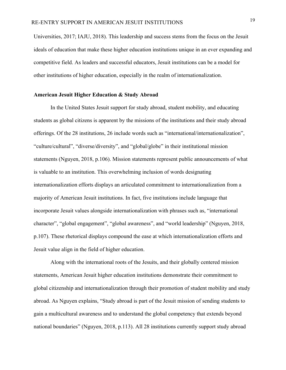Universities, 2017; IAJU, 2018). This leadership and success stems from the focus on the Jesuit ideals of education that make these higher education institutions unique in an ever expanding and competitive field. As leaders and successful educators, Jesuit institutions can be a model for other institutions of higher education, especially in the realm of internationalization.

#### **American Jesuit Higher Education & Study Abroad**

In the United States Jesuit support for study abroad, student mobility, and educating students as global citizens is apparent by the missions of the institutions and their study abroad offerings. Of the 28 institutions, 26 include words such as "international/internationalization", "culture/cultural", "diverse/diversity", and "global/globe" in their institutional mission statements (Nguyen, 2018, p.106). Mission statements represent public announcements of what is valuable to an institution. This overwhelming inclusion of words designating internationalization efforts displays an articulated commitment to internationalization from a majority of American Jesuit institutions. In fact, five institutions include language that incorporate Jesuit values alongside internationalization with phrases such as, "international character", "global engagement", "global awareness", and "world leadership" (Nguyen, 2018, p.107). These rhetorical displays compound the ease at which internationalization efforts and Jesuit value align in the field of higher education.

Along with the international roots of the Jesuits, and their globally centered mission statements, American Jesuit higher education institutions demonstrate their commitment to global citizenship and internationalization through their promotion of student mobility and study abroad. As Nguyen explains, "Study abroad is part of the Jesuit mission of sending students to gain a multicultural awareness and to understand the global competency that extends beyond national boundaries" (Nguyen, 2018, p.113). All 28 institutions currently support study abroad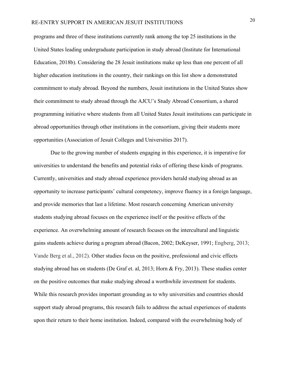programs and three of these institutions currently rank among the top 25 institutions in the United States leading undergraduate participation in study abroad (Institute for International Education, 2018b). Considering the 28 Jesuit institutions make up less than one percent of all higher education institutions in the country, their rankings on this list show a demonstrated commitment to study abroad. Beyond the numbers, Jesuit institutions in the United States show their commitment to study abroad through the AJCU's Study Abroad Consortium, a shared programming initiative where students from all United States Jesuit institutions can participate in abroad opportunities through other institutions in the consortium, giving their students more opportunities (Association of Jesuit Colleges and Universities 2017).

Due to the growing number of students engaging in this experience, it is imperative for universities to understand the benefits and potential risks of offering these kinds of programs. Currently, universities and study abroad experience providers herald studying abroad as an opportunity to increase participants' cultural competency, improve fluency in a foreign language, and provide memories that last a lifetime. Most research concerning American university students studying abroad focuses on the experience itself or the positive effects of the experience. An overwhelming amount of research focuses on the intercultural and linguistic gains students achieve during a program abroad (Bacon, 2002; DeKeyser, 1991; Engberg, 2013; Vande Berg et al., 2012). Other studies focus on the positive, professional and civic effects studying abroad has on students (De Graf et. al, 2013; Horn & Fry, 2013). These studies center on the positive outcomes that make studying abroad a worthwhile investment for students. While this research provides important grounding as to why universities and countries should support study abroad programs, this research fails to address the actual experiences of students upon their return to their home institution. Indeed, compared with the overwhelming body of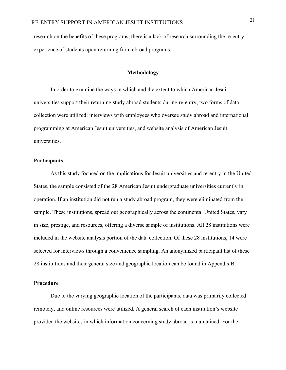research on the benefits of these programs, there is a lack of research surrounding the re-entry experience of students upon returning from abroad programs.

#### **Methodology**

In order to examine the ways in which and the extent to which American Jesuit universities support their returning study abroad students during re-entry, two forms of data collection were utilized; interviews with employees who oversee study abroad and international programming at American Jesuit universities, and website analysis of American Jesuit universities.

#### **Participants**

As this study focused on the implications for Jesuit universities and re-entry in the United States, the sample consisted of the 28 American Jesuit undergraduate universities currently in operation. If an institution did not run a study abroad program, they were eliminated from the sample. These institutions, spread out geographically across the continental United States, vary in size, prestige, and resources, offering a diverse sample of institutions. All 28 institutions were included in the website analysis portion of the data collection. Of these 28 institutions, 14 were selected for interviews through a convenience sampling. An anonymized participant list of these 28 institutions and their general size and geographic location can be found in Appendix B.

#### **Procedure**

Due to the varying geographic location of the participants, data was primarily collected remotely, and online resources were utilized. A general search of each institution's website provided the websites in which information concerning study abroad is maintained. For the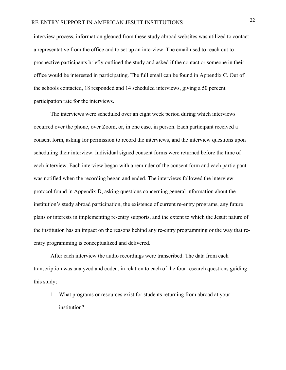interview process, information gleaned from these study abroad websites was utilized to contact a representative from the office and to set up an interview. The email used to reach out to prospective participants briefly outlined the study and asked if the contact or someone in their office would be interested in participating. The full email can be found in Appendix C. Out of the schools contacted, 18 responded and 14 scheduled interviews, giving a 50 percent participation rate for the interviews.

The interviews were scheduled over an eight week period during which interviews occurred over the phone, over Zoom, or, in one case, in person. Each participant received a consent form, asking for permission to record the interviews, and the interview questions upon scheduling their interview. Individual signed consent forms were returned before the time of each interview. Each interview began with a reminder of the consent form and each participant was notified when the recording began and ended. The interviews followed the interview protocol found in Appendix D, asking questions concerning general information about the institution's study abroad participation, the existence of current re-entry programs, any future plans or interests in implementing re-entry supports, and the extent to which the Jesuit nature of the institution has an impact on the reasons behind any re-entry programming or the way that reentry programming is conceptualized and delivered.

After each interview the audio recordings were transcribed. The data from each transcription was analyzed and coded, in relation to each of the four research questions guiding this study;

1. What programs or resources exist for students returning from abroad at your institution?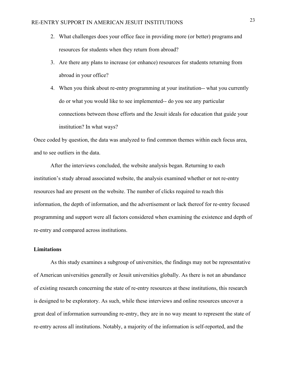- 2. What challenges does your office face in providing more (or better) programs and resources for students when they return from abroad?
- 3. Are there any plans to increase (or enhance) resources for students returning from abroad in your office?
- 4. When you think about re-entry programming at your institution-- what you currently do or what you would like to see implemented-- do you see any particular connections between those efforts and the Jesuit ideals for education that guide your institution? In what ways?

Once coded by question, the data was analyzed to find common themes within each focus area, and to see outliers in the data.

After the interviews concluded, the website analysis began. Returning to each institution's study abroad associated website, the analysis examined whether or not re-entry resources had are present on the website. The number of clicks required to reach this information, the depth of information, and the advertisement or lack thereof for re-entry focused programming and support were all factors considered when examining the existence and depth of re-entry and compared across institutions.

#### **Limitations**

As this study examines a subgroup of universities, the findings may not be representative of American universities generally or Jesuit universities globally. As there is not an abundance of existing research concerning the state of re-entry resources at these institutions, this research is designed to be exploratory. As such, while these interviews and online resources uncover a great deal of information surrounding re-entry, they are in no way meant to represent the state of re-entry across all institutions. Notably, a majority of the information is self-reported, and the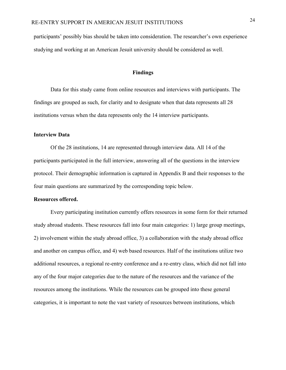participants' possibly bias should be taken into consideration. The researcher's own experience studying and working at an American Jesuit university should be considered as well.

#### **Findings**

Data for this study came from online resources and interviews with participants. The findings are grouped as such, for clarity and to designate when that data represents all 28 institutions versus when the data represents only the 14 interview participants.

#### **Interview Data**

Of the 28 institutions, 14 are represented through interview data. All 14 of the participants participated in the full interview, answering all of the questions in the interview protocol. Their demographic information is captured in Appendix B and their responses to the four main questions are summarized by the corresponding topic below.

#### **Resources offered.**

Every participating institution currently offers resources in some form for their returned study abroad students. These resources fall into four main categories: 1) large group meetings, 2) involvement within the study abroad office, 3) a collaboration with the study abroad office and another on campus office, and 4) web based resources. Half of the institutions utilize two additional resources, a regional re-entry conference and a re-entry class, which did not fall into any of the four major categories due to the nature of the resources and the variance of the resources among the institutions. While the resources can be grouped into these general categories, it is important to note the vast variety of resources between institutions, which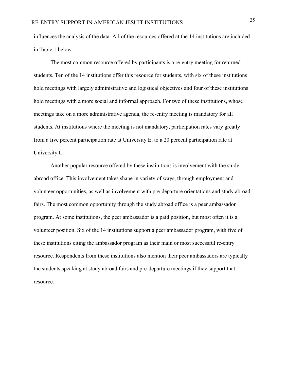influences the analysis of the data. All of the resources offered at the 14 institutions are included in Table 1 below.

The most common resource offered by participants is a re-entry meeting for returned students. Ten of the 14 institutions offer this resource for students, with six of these institutions hold meetings with largely administrative and logistical objectives and four of these institutions hold meetings with a more social and informal approach. For two of these institutions, whose meetings take on a more administrative agenda, the re-entry meeting is mandatory for all students. At institutions where the meeting is not mandatory, participation rates vary greatly from a five percent participation rate at University E, to a 20 percent participation rate at University L.

Another popular resource offered by these institutions is involvement with the study abroad office. This involvement takes shape in variety of ways, through employment and volunteer opportunities, as well as involvement with pre-departure orientations and study abroad fairs. The most common opportunity through the study abroad office is a peer ambassador program. At some institutions, the peer ambassador is a paid position, but most often it is a volunteer position. Six of the 14 institutions support a peer ambassador program, with five of these institutions citing the ambassador program as their main or most successful re-entry resource. Respondents from these institutions also mention their peer ambassadors are typically the students speaking at study abroad fairs and pre-departure meetings if they support that resource.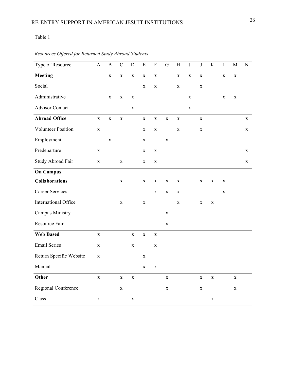## Table 1

| Type of Resource        | $\underline{A}$           | $\underline{\underline{B}}$ | $\underline{\mathbf{C}}$  | $\underline{\underline{D}}$ | $\underline{\mathbf{E}}$  | $\underline{\mathrm{F}}$  | $\underline{G}$           | $\underline{\mathrm{H}}$  | $\underline{\text{I}}$    | $\underline{\mathbf{J}}$  | $\underline{K}$ | $\underline{\underline{L}}$ | $\underline{\mathbf{M}}$  | $\underline{N}$           |
|-------------------------|---------------------------|-----------------------------|---------------------------|-----------------------------|---------------------------|---------------------------|---------------------------|---------------------------|---------------------------|---------------------------|-----------------|-----------------------------|---------------------------|---------------------------|
| <b>Meeting</b>          |                           | $\boldsymbol{\mathrm{X}}$   | $\boldsymbol{\mathrm{X}}$ | $\boldsymbol{\mathrm{X}}$   | $\boldsymbol{\mathrm{X}}$ | $\boldsymbol{\mathrm{X}}$ |                           | $\boldsymbol{\mathrm{X}}$ | $\boldsymbol{\mathrm{X}}$ | $\boldsymbol{\mathrm{X}}$ |                 | $\boldsymbol{\mathrm{X}}$   | $\boldsymbol{\mathrm{X}}$ |                           |
| Social                  |                           |                             |                           |                             | $\mathbf X$               | $\mathbf X$               |                           | $\mathbf X$               |                           | $\mathbf X$               |                 |                             |                           |                           |
| Administrative          |                           | $\mathbf X$                 | $\mathbf X$               | $\mathbf X$                 |                           |                           |                           |                           | $\mathbf X$               |                           |                 | $\mathbf X$                 | $\mathbf X$               |                           |
| <b>Advisor Contact</b>  |                           |                             |                           | $\mathbf X$                 |                           |                           |                           |                           | $\mathbf X$               |                           |                 |                             |                           |                           |
| <b>Abroad Office</b>    | $\boldsymbol{\mathrm{X}}$ | $\boldsymbol{\mathrm{X}}$   | $\boldsymbol{\mathrm{X}}$ |                             | $\boldsymbol{\mathrm{X}}$ | $\mathbf X$               | $\mathbf X$               | $\mathbf X$               |                           | $\mathbf{X}$              |                 |                             |                           | $\boldsymbol{\mathrm{X}}$ |
| Volunteer Position      | $\mathbf X$               |                             |                           |                             | X                         | $\mathbf X$               |                           | $\mathbf X$               |                           | X                         |                 |                             |                           | $\mathbf X$               |
| Employment              |                           | $\mathbf X$                 |                           |                             | $\mathbf X$               |                           | $\mathbf X$               |                           |                           |                           |                 |                             |                           |                           |
| Predeparture            | $\mathbf X$               |                             |                           |                             | $\mathbf X$               | $\mathbf X$               |                           |                           |                           |                           |                 |                             |                           | $\mathbf X$               |
| Study Abroad Fair       | $\mathbf X$               |                             | $\mathbf X$               |                             | $\mathbf X$               | $\mathbf X$               |                           |                           |                           |                           |                 |                             |                           | $\mathbf X$               |
| <b>On Campus</b>        |                           |                             |                           |                             |                           |                           |                           |                           |                           |                           |                 |                             |                           |                           |
| <b>Collaborations</b>   |                           |                             | $\boldsymbol{\mathrm{X}}$ |                             | $\boldsymbol{\mathrm{X}}$ | $\boldsymbol{\mathrm{X}}$ | $\boldsymbol{\mathrm{X}}$ | $\boldsymbol{\mathrm{X}}$ |                           | $\boldsymbol{\mathrm{X}}$ | $\mathbf X$     | $\boldsymbol{\mathrm{X}}$   |                           |                           |
| <b>Career Services</b>  |                           |                             |                           |                             |                           | $\mathbf X$               | $\mathbf X$               | $\mathbf X$               |                           |                           |                 | X                           |                           |                           |
| International Office    |                           |                             | $\mathbf X$               |                             | $\mathbf X$               |                           |                           | $\mathbf X$               |                           | $\mathbf X$               | $\mathbf X$     |                             |                           |                           |
| <b>Campus Ministry</b>  |                           |                             |                           |                             |                           |                           | $\mathbf X$               |                           |                           |                           |                 |                             |                           |                           |
| Resource Fair           |                           |                             |                           |                             |                           |                           | $\mathbf X$               |                           |                           |                           |                 |                             |                           |                           |
| <b>Web Based</b>        | $\boldsymbol{\mathrm{X}}$ |                             |                           | $\mathbf{X}$                | $\mathbf X$               | $\boldsymbol{\mathrm{X}}$ |                           |                           |                           |                           |                 |                             |                           |                           |
| <b>Email Series</b>     | $\mathbf X$               |                             |                           | $\mathbf X$                 |                           | $\mathbf X$               |                           |                           |                           |                           |                 |                             |                           |                           |
| Return Specific Website | $\mathbf X$               |                             |                           |                             | $\mathbf X$               |                           |                           |                           |                           |                           |                 |                             |                           |                           |
| Manual                  |                           |                             |                           |                             | $\mathbf X$               | $\mathbf X$               |                           |                           |                           |                           |                 |                             |                           |                           |
| Other                   | $\boldsymbol{\mathrm{X}}$ |                             | $\mathbf X$               | $\mathbf{\bar{X}}$          |                           |                           | $\bar{\mathbf{X}}$        |                           |                           | $\boldsymbol{\mathrm{X}}$ | $\mathbf{X}$    |                             | $\boldsymbol{\mathrm{X}}$ |                           |
| Regional Conference     |                           |                             | $\mathbf X$               |                             |                           |                           | $\mathbf X$               |                           |                           | X                         |                 |                             | $\mathbf X$               |                           |
| Class                   | X                         |                             |                           | $\mathbf X$                 |                           |                           |                           |                           |                           |                           | $\mathbf X$     |                             |                           |                           |

#### *Resources Offered for Returned Study Abroad Students*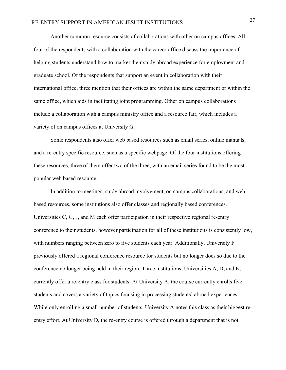Another common resource consists of collaborations with other on campus offices. All four of the respondents with a collaboration with the career office discuss the importance of helping students understand how to market their study abroad experience for employment and graduate school. Of the respondents that support an event in collaboration with their international office, three mention that their offices are within the same department or within the same office, which aids in facilitating joint programming. Other on campus collaborations include a collaboration with a campus ministry office and a resource fair, which includes a variety of on campus offices at University G.

Some respondents also offer web based resources such as email series, online manuals, and a re-entry specific resource, such as a specific webpage. Of the four institutions offering these resources, three of them offer two of the three, with an email series found to be the most popular web based resource.

In addition to meetings, study abroad involvement, on campus collaborations, and web based resources, some institutions also offer classes and regionally based conferences. Universities C, G, J, and M each offer participation in their respective regional re-entry conference to their students, however participation for all of these institutions is consistently low, with numbers ranging between zero to five students each year. Additionally, University F previously offered a regional conference resource for students but no longer does so due to the conference no longer being held in their region. Three institutions, Universities A, D, and K, currently offer a re-entry class for students. At University A, the course currently enrolls five students and covers a variety of topics focusing in processing students' abroad experiences. While only enrolling a small number of students, University A notes this class as their biggest reentry effort. At University D, the re-entry course is offered through a department that is not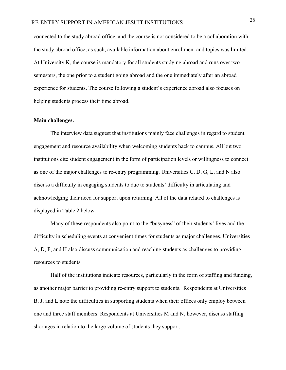connected to the study abroad office, and the course is not considered to be a collaboration with the study abroad office; as such, available information about enrollment and topics was limited. At University K, the course is mandatory for all students studying abroad and runs over two semesters, the one prior to a student going abroad and the one immediately after an abroad experience for students. The course following a student's experience abroad also focuses on helping students process their time abroad.

#### **Main challenges.**

The interview data suggest that institutions mainly face challenges in regard to student engagement and resource availability when welcoming students back to campus. All but two institutions cite student engagement in the form of participation levels or willingness to connect as one of the major challenges to re-entry programming. Universities C, D, G, L, and N also discuss a difficulty in engaging students to due to students' difficulty in articulating and acknowledging their need for support upon returning. All of the data related to challenges is displayed in Table 2 below.

Many of these respondents also point to the "busyness" of their students' lives and the difficulty in scheduling events at convenient times for students as major challenges. Universities A, D, F, and H also discuss communication and reaching students as challenges to providing resources to students.

Half of the institutions indicate resources, particularly in the form of staffing and funding, as another major barrier to providing re-entry support to students. Respondents at Universities B, J, and L note the difficulties in supporting students when their offices only employ between one and three staff members. Respondents at Universities M and N, however, discuss staffing shortages in relation to the large volume of students they support.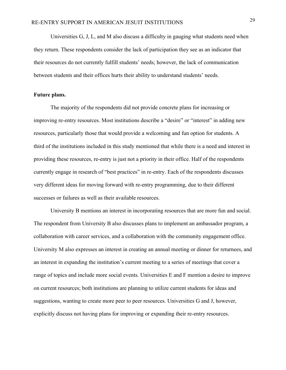Universities G, J, L, and M also discuss a difficulty in gauging what students need when they return. These respondents consider the lack of participation they see as an indicator that their resources do not currently fulfill students' needs; however, the lack of communication between students and their offices hurts their ability to understand students' needs.

#### **Future plans.**

The majority of the respondents did not provide concrete plans for increasing or improving re-entry resources. Most institutions describe a "desire" or "interest" in adding new resources, particularly those that would provide a welcoming and fun option for students. A third of the institutions included in this study mentioned that while there is a need and interest in providing these resources, re-entry is just not a priority in their office. Half of the respondents currently engage in research of "best practices" in re-entry. Each of the respondents discusses very different ideas for moving forward with re-entry programming, due to their different successes or failures as well as their available resources.

University B mentions an interest in incorporating resources that are more fun and social. The respondent from University B also discusses plans to implement an ambassador program, a collaboration with career services, and a collaboration with the community engagement office. University M also expresses an interest in creating an annual meeting or dinner for returnees, and an interest in expanding the institution's current meeting to a series of meetings that cover a range of topics and include more social events. Universities E and F mention a desire to improve on current resources; both institutions are planning to utilize current students for ideas and suggestions, wanting to create more peer to peer resources. Universities G and J, however, explicitly discuss not having plans for improving or expanding their re-entry resources.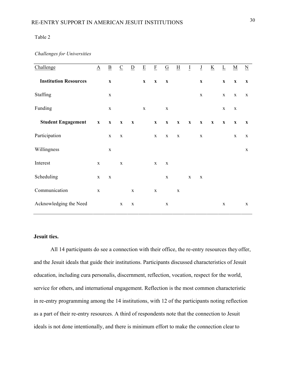#### Table 2

#### *Challenges for Universities*

| Challenge                    | $\underline{A}$ | $\underline{\mathbf{B}}$  | $\underline{C}$           | $\overline{D}$            | $\underline{\mathbf{E}}$ | $\underline{\mathrm{F}}$  | $\underline{G}$           | $\overline{\mathrm{H}}$   | $\overline{1}$ | $\underline{\mathsf{J}}$  | $\underline{\mathbf{K}}$  | $\overline{\Gamma}$       | $\underline{M}$ | $\underline{\mathbf{N}}$ |
|------------------------------|-----------------|---------------------------|---------------------------|---------------------------|--------------------------|---------------------------|---------------------------|---------------------------|----------------|---------------------------|---------------------------|---------------------------|-----------------|--------------------------|
| <b>Institution Resources</b> |                 | $\boldsymbol{\mathrm{X}}$ |                           |                           | $\mathbf X$              | $\mathbf X$               | $\mathbf X$               |                           |                | $\boldsymbol{\mathrm{X}}$ |                           | $\mathbf X$               | $\mathbf X$     | $\mathbf X$              |
| Staffing                     |                 | X                         |                           |                           |                          |                           |                           |                           |                | $\mathbf X$               |                           | $\mathbf X$               | $\mathbf X$     | X                        |
| Funding                      |                 | $\mathbf X$               |                           |                           | $\mathbf X$              |                           | $\mathbf X$               |                           |                |                           |                           | $\mathbf X$               | X               |                          |
| <b>Student Engagement</b>    | $\mathbf{x}$    | $\mathbf X$               | $\boldsymbol{\mathrm{X}}$ | $\boldsymbol{\mathrm{X}}$ |                          | $\boldsymbol{\mathrm{X}}$ | $\boldsymbol{\mathrm{X}}$ | $\boldsymbol{\mathrm{X}}$ | $\mathbf X$    | $\boldsymbol{\mathrm{X}}$ | $\boldsymbol{\mathrm{X}}$ | $\boldsymbol{\mathrm{X}}$ | $\mathbf{X}$    | $\mathbf{X}$             |
| Participation                |                 | $\mathbf{X}$              | $\mathbf X$               |                           |                          | X                         | X                         | $\mathbf X$               |                | $\mathbf{X}$              |                           |                           | $\mathbf X$     | X                        |
| Willingness                  |                 | X                         |                           |                           |                          |                           |                           |                           |                |                           |                           |                           |                 | $\mathbf X$              |
| Interest                     | $\mathbf X$     |                           | $\mathbf X$               |                           |                          | $\mathbf X$               | $\mathbf X$               |                           |                |                           |                           |                           |                 |                          |
| Scheduling                   | X               | $\mathbf X$               |                           |                           |                          |                           | $\mathbf X$               |                           | $\mathbf X$    | $\mathbf X$               |                           |                           |                 |                          |
| Communication                | $\mathbf X$     |                           |                           | $\mathbf X$               |                          | $\mathbf X$               |                           | X                         |                |                           |                           |                           |                 |                          |
| Acknowledging the Need       |                 |                           | $\mathbf X$               | $\mathbf X$               |                          |                           | $\mathbf X$               |                           |                |                           |                           | $\mathbf X$               |                 | X                        |

#### **Jesuit ties.**

All 14 participants do see a connection with their office, the re-entry resources they offer, and the Jesuit ideals that guide their institutions. Participants discussed characteristics of Jesuit education, including cura personalis, discernment, reflection, vocation, respect for the world, service for others, and international engagement. Reflection is the most common characteristic in re-entry programming among the 14 institutions, with 12 of the participants noting reflection as a part of their re-entry resources. A third of respondents note that the connection to Jesuit ideals is not done intentionally, and there is minimum effort to make the connection clear to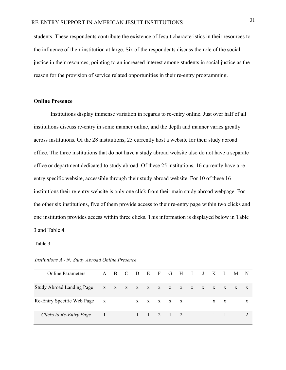students. These respondents contribute the existence of Jesuit characteristics in their resources to the influence of their institution at large. Six of the respondents discuss the role of the social justice in their resources, pointing to an increased interest among students in social justice as the reason for the provision of service related opportunities in their re-entry programming.

#### **Online Presence**

Institutions display immense variation in regards to re-entry online. Just over half of all institutions discuss re-entry in some manner online, and the depth and manner varies greatly across institutions. Of the 28 institutions, 25 currently host a website for their study abroad office. The three institutions that do not have a study abroad website also do not have a separate office or department dedicated to study abroad. Of these 25 institutions, 16 currently have a reentry specific website, accessible through their study abroad website. For 10 of these 16 institutions their re-entry website is only one click from their main study abroad webpage. For the other six institutions, five of them provide access to their re-entry page within two clicks and one institution provides access within three clicks. This information is displayed below in Table 3 and Table 4.

Table 3

| <b>Online Parameters</b>         |                           | A B | $\mathbf{C}$ | $D$ E F G H $I$ |     |                                     |  | $\frac{1}{2}$ | K   | $\mathbf{L}$ | M |   |
|----------------------------------|---------------------------|-----|--------------|-----------------|-----|-------------------------------------|--|---------------|-----|--------------|---|---|
| <b>Study Abroad Landing Page</b> | X X X X X X X X X X X X X |     |              |                 |     |                                     |  |               |     |              |   | X |
| Re-Entry Specific Web Page x     |                           |     |              |                 | X X | $X$ $X$ $X$                         |  |               | X X |              |   | X |
| Clicks to Re-Entry Page 1        |                           |     |              |                 |     | $1 \quad 1 \quad 2 \quad 1 \quad 2$ |  |               |     |              |   |   |

*Institutions A - N: Study Abroad Online Presence*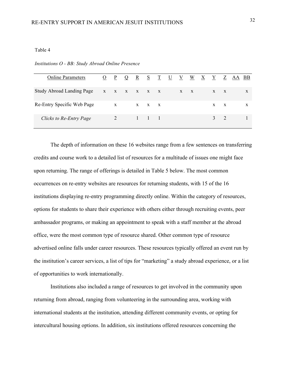#### Table 4

*Institutions O - BB: Study Abroad Online Presence*

| <b>Online Parameters</b>                | $\overline{O}$ |              |              |       |  |       |  |       |              | <u>P Q R S T U V W X Y Z AA BB</u> |
|-----------------------------------------|----------------|--------------|--------------|-------|--|-------|--|-------|--------------|------------------------------------|
| Study Abroad Landing Page x x x x x x x |                |              |              |       |  | $X$ X |  | $X$ X |              | X                                  |
| Re-Entry Specific Web Page              |                | $\mathbf{X}$ |              | X X X |  |       |  | X     | $\mathbf{X}$ | X                                  |
| Clicks to Re-Entry Page                 |                |              | $-1$ $1$ $1$ |       |  |       |  |       | $3 \quad 2$  |                                    |

The depth of information on these 16 websites range from a few sentences on transferring credits and course work to a detailed list of resources for a multitude of issues one might face upon returning. The range of offerings is detailed in Table 5 below. The most common occurrences on re-entry websites are resources for returning students, with 15 of the 16 institutions displaying re-entry programming directly online. Within the category of resources, options for students to share their experience with others either through recruiting events, peer ambassador programs, or making an appointment to speak with a staff member at the abroad office, were the most common type of resource shared. Other common type of resource advertised online falls under career resources. These resources typically offered an event run by the institution's career services, a list of tips for "marketing" a study abroad experience, or a list of opportunities to work internationally.

Institutions also included a range of resources to get involved in the community upon returning from abroad, ranging from volunteering in the surrounding area, working with international students at the institution, attending different community events, or opting for intercultural housing options. In addition, six institutions offered resources concerning the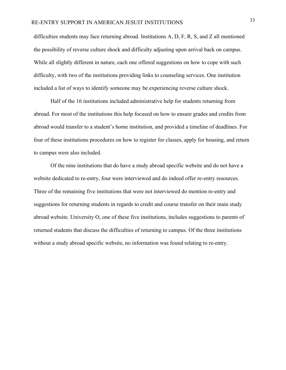difficulties students may face returning abroad. Institutions A, D, F, R, S, and Z all mentioned the possibility of reverse culture shock and difficulty adjusting upon arrival back on campus. While all slightly different in nature, each one offered suggestions on how to cope with such difficulty, with two of the institutions providing links to counseling services. One institution included a list of ways to identify someone may be experiencing reverse culture shock.

Half of the 16 institutions included administrative help for students returning from abroad. For most of the institutions this help focused on how to ensure grades and credits from abroad would transfer to a student's home institution, and provided a timeline of deadlines. For four of these institutions procedures on how to register for classes, apply for housing, and return to campus were also included.

Of the nine institutions that do have a study abroad specific website and do not have a website dedicated to re-entry, four were interviewed and do indeed offer re-entry resources. Three of the remaining five institutions that were not interviewed do mention re-entry and suggestions for returning students in regards to credit and course transfer on their main study abroad website. University O, one of these five institutions, includes suggestions to parents of returned students that discuss the difficulties of returning to campus. Of the three institutions without a study abroad specific website, no information was found relating to re-entry.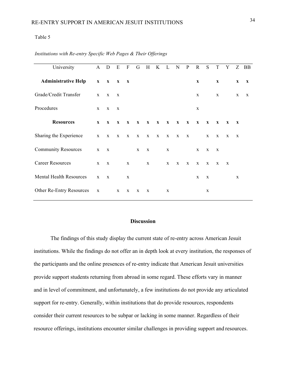#### Table 5

| University                     |              | A D E F      |              |              |              |              | G H K L N P R S T Y Z BB |              |              |              |              |              |              |              |              |             |
|--------------------------------|--------------|--------------|--------------|--------------|--------------|--------------|--------------------------|--------------|--------------|--------------|--------------|--------------|--------------|--------------|--------------|-------------|
| <b>Administrative Help</b>     | $\mathbf{x}$ | $\mathbf{x}$ | $\mathbf{x}$ | $\mathbf{x}$ |              |              |                          |              |              |              | $\mathbf X$  |              | $\mathbf{X}$ |              | $\mathbf x$  | $\mathbf x$ |
| Grade/Credit Transfer          | $\mathbf{X}$ | $\mathbf{X}$ | X            |              |              |              |                          |              |              |              | X            |              | X            |              | X            | X           |
| Procedures                     | $\mathbf{X}$ | $\mathbf{X}$ | $\mathbf{X}$ |              |              |              |                          |              |              |              | X            |              |              |              |              |             |
| <b>Resources</b>               | $\mathbf{X}$ | $\mathbf{x}$ | $\mathbf{x}$ | $\mathbf{x}$ | $\mathbf{X}$ | $\mathbf{x}$ | $\mathbf{x}$             | $\mathbf{X}$ | $\mathbf{x}$ | $\mathbf{x}$ | $\mathbf{X}$ | $\mathbf{X}$ | $\mathbf{x}$ | $\mathbf{X}$ | $\mathbf{x}$ |             |
| Sharing the Experience         |              | $X$ $X$ $X$  |              |              |              |              | $X$ $X$ $X$ $X$ $X$      |              | X            | $\mathbf{X}$ |              | X            | $\mathbf{X}$ | X            | $\mathbf x$  |             |
| <b>Community Resources</b>     | $\mathbf{X}$ | $\mathbf{X}$ |              |              | $\mathbf{X}$ | $\mathbf{X}$ |                          | $\mathbf{X}$ |              |              | X            | X            | $\mathbf{X}$ |              |              |             |
| <b>Career Resources</b>        | $\mathbf{X}$ | $\mathbf{X}$ |              | X            |              | $\mathbf{X}$ |                          | $\mathbf{X}$ | $\mathbf{X}$ | $\mathbf{X}$ | $\mathbf{X}$ | X            | X            | X            |              |             |
| <b>Mental Health Resources</b> | $\mathbf{X}$ | $\mathbf{X}$ |              | X            |              |              |                          |              |              |              | X            | X            |              |              | X            |             |
| Other Re-Entry Resources       | $\mathbf X$  |              | X            | X            | X            | X            |                          | X            |              |              |              | X            |              |              |              |             |

#### *Institutions with Re-entry Specific Web Pages & Their Offerings*

#### **Discussion**

The findings of this study display the current state of re-entry across American Jesuit institutions. While the findings do not offer an in depth look at every institution, the responses of the participants and the online presences of re-entry indicate that American Jesuit universities provide support students returning from abroad in some regard. These efforts vary in manner and in level of commitment, and unfortunately, a few institutions do not provide any articulated support for re-entry. Generally, within institutions that do provide resources, respondents consider their current resources to be subpar or lacking in some manner. Regardless of their resource offerings, institutions encounter similar challenges in providing support and resources.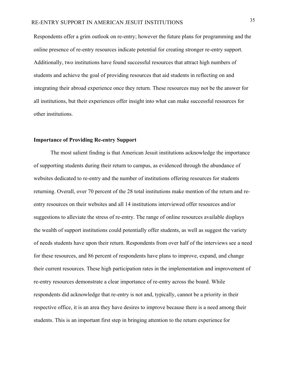Respondents offer a grim outlook on re-entry; however the future plans for programming and the online presence of re-entry resources indicate potential for creating stronger re-entry support. Additionally, two institutions have found successful resources that attract high numbers of students and achieve the goal of providing resources that aid students in reflecting on and integrating their abroad experience once they return. These resources may not be the answer for all institutions, but their experiences offer insight into what can make successful resources for other institutions.

#### **Importance of Providing Re-entry Support**

The most salient finding is that American Jesuit institutions acknowledge the importance of supporting students during their return to campus, as evidenced through the abundance of websites dedicated to re-entry and the number of institutions offering resources for students returning. Overall, over 70 percent of the 28 total institutions make mention of the return and reentry resources on their websites and all 14 institutions interviewed offer resources and/or suggestions to alleviate the stress of re-entry. The range of online resources available displays the wealth of support institutions could potentially offer students, as well as suggest the variety of needs students have upon their return. Respondents from over half of the interviews see a need for these resources, and 86 percent of respondents have plans to improve, expand, and change their current resources. These high participation rates in the implementation and improvement of re-entry resources demonstrate a clear importance of re-entry across the board. While respondents did acknowledge that re-entry is not and, typically, cannot be a priority in their respective office, it is an area they have desires to improve because there is a need among their students. This is an important first step in bringing attention to the return experience for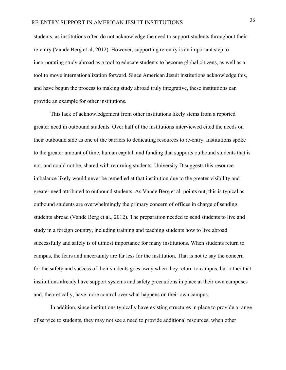students, as institutions often do not acknowledge the need to support students throughout their re-entry (Vande Berg et al, 2012). However, supporting re-entry is an important step to incorporating study abroad as a tool to educate students to become global citizens, as well as a tool to move internationalization forward. Since American Jesuit institutions acknowledge this, and have begun the process to making study abroad truly integrative, these institutions can provide an example for other institutions.

This lack of acknowledgement from other institutions likely stems from a reported greater need in outbound students. Over half of the institutions interviewed cited the needs on their outbound side as one of the barriers to dedicating resources to re-entry. Institutions spoke to the greater amount of time, human capital, and funding that supports outbound students that is not, and could not be, shared with returning students. University D suggests this resource imbalance likely would never be remedied at that institution due to the greater visibility and greater need attributed to outbound students. As Vande Berg et al. points out, this is typical as outbound students are overwhelmingly the primary concern of offices in charge of sending students abroad (Vande Berg et al., 2012). The preparation needed to send students to live and study in a foreign country, including training and teaching students how to live abroad successfully and safely is of utmost importance for many institutions. When students return to campus, the fears and uncertainty are far less for the institution. That is not to say the concern for the safety and success of their students goes away when they return to campus, but rather that institutions already have support systems and safety precautions in place at their own campuses and, theoretically, have more control over what happens on their own campus.

In addition, since institutions typically have existing structures in place to provide a range of service to students, they may not see a need to provide additional resources, when other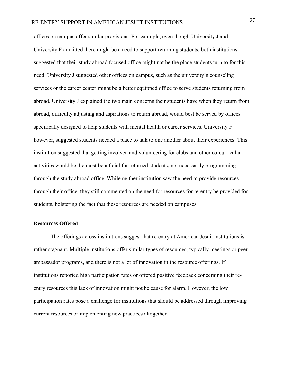offices on campus offer similar provisions. For example, even though University J and University F admitted there might be a need to support returning students, both institutions suggested that their study abroad focused office might not be the place students turn to for this need. University J suggested other offices on campus, such as the university's counseling services or the career center might be a better equipped office to serve students returning from abroad. University J explained the two main concerns their students have when they return from abroad, difficulty adjusting and aspirations to return abroad, would best be served by offices specifically designed to help students with mental health or career services. University F however, suggested students needed a place to talk to one another about their experiences. This institution suggested that getting involved and volunteering for clubs and other co-curricular activities would be the most beneficial for returned students, not necessarily programming through the study abroad office. While neither institution saw the need to provide resources through their office, they still commented on the need for resources for re-entry be provided for students, bolstering the fact that these resources are needed on campuses.

#### **Resources Offered**

The offerings across institutions suggest that re-entry at American Jesuit institutions is rather stagnant. Multiple institutions offer similar types of resources, typically meetings or peer ambassador programs, and there is not a lot of innovation in the resource offerings. If institutions reported high participation rates or offered positive feedback concerning their reentry resources this lack of innovation might not be cause for alarm. However, the low participation rates pose a challenge for institutions that should be addressed through improving current resources or implementing new practices altogether.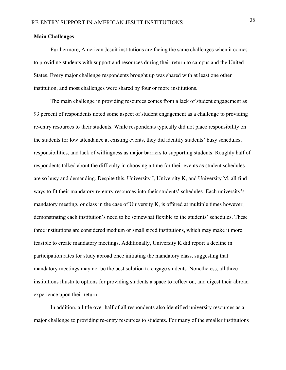#### **Main Challenges**

Furthermore, American Jesuit institutions are facing the same challenges when it comes to providing students with support and resources during their return to campus and the United States. Every major challenge respondents brought up was shared with at least one other institution, and most challenges were shared by four or more institutions.

The main challenge in providing resources comes from a lack of student engagement as 93 percent of respondents noted some aspect of student engagement as a challenge to providing re-entry resources to their students. While respondents typically did not place responsibility on the students for low attendance at existing events, they did identify students' busy schedules, responsibilities, and lack of willingness as major barriers to supporting students. Roughly half of respondents talked about the difficulty in choosing a time for their events as student schedules are so busy and demanding. Despite this, University I, University K, and University M, all find ways to fit their mandatory re-entry resources into their students' schedules. Each university's mandatory meeting, or class in the case of University K, is offered at multiple times however, demonstrating each institution's need to be somewhat flexible to the students' schedules. These three institutions are considered medium or small sized institutions, which may make it more feasible to create mandatory meetings. Additionally, University K did report a decline in participation rates for study abroad once initiating the mandatory class, suggesting that mandatory meetings may not be the best solution to engage students. Nonetheless, all three institutions illustrate options for providing students a space to reflect on, and digest their abroad experience upon their return.

In addition, a little over half of all respondents also identified university resources as a major challenge to providing re-entry resources to students. For many of the smaller institutions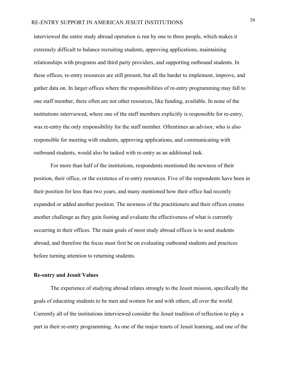interviewed the entire study abroad operation is run by one to three people, which makes it extremely difficult to balance recruiting students, approving applications, maintaining relationships with programs and third party providers, and supporting outbound students. In these offices, re-entry resources are still present, but all the harder to implement, improve, and gather data on. In larger offices where the responsibilities of re-entry programming may fall to one staff member, there often are not other resources, like funding, available. In none of the institutions interviewed, where one of the staff members explicitly is responsible for re-entry, was re-entry the only responsibility for the staff member. Oftentimes an advisor, who is also responsible for meeting with students, approving applications, and communicating with outbound students, would also be tasked with re-entry as an additional task.

For more than half of the institutions, respondents mentioned the newness of their position, their office, or the existence of re-entry resources. Five of the respondents have been in their position for less than two years, and many mentioned how their office had recently expanded or added another position. The newness of the practitioners and their offices creates another challenge as they gain footing and evaluate the effectiveness of what is currently occurring in their offices. The main goals of most study abroad offices is to send students abroad, and therefore the focus must first be on evaluating outbound students and practices before turning attention to returning students.

#### **Re-entry and Jesuit Values**

The experience of studying abroad relates strongly to the Jesuit mission, specifically the goals of educating students to be men and women for and with others, all over the world. Currently all of the institutions interviewed consider the Jesuit tradition of reflection to play a part in their re-entry programming. As one of the major tenets of Jesuit learning, and one of the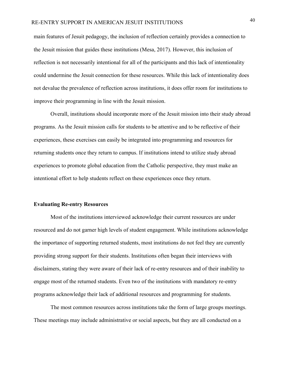main features of Jesuit pedagogy, the inclusion of reflection certainly provides a connection to the Jesuit mission that guides these institutions (Mesa, 2017). However, this inclusion of reflection is not necessarily intentional for all of the participants and this lack of intentionality could undermine the Jesuit connection for these resources. While this lack of intentionality does not devalue the prevalence of reflection across institutions, it does offer room for institutions to improve their programming in line with the Jesuit mission.

Overall, institutions should incorporate more of the Jesuit mission into their study abroad programs. As the Jesuit mission calls for students to be attentive and to be reflective of their experiences, these exercises can easily be integrated into programming and resources for returning students once they return to campus. If institutions intend to utilize study abroad experiences to promote global education from the Catholic perspective, they must make an intentional effort to help students reflect on these experiences once they return.

#### **Evaluating Re-entry Resources**

Most of the institutions interviewed acknowledge their current resources are under resourced and do not garner high levels of student engagement. While institutions acknowledge the importance of supporting returned students, most institutions do not feel they are currently providing strong support for their students. Institutions often began their interviews with disclaimers, stating they were aware of their lack of re-entry resources and of their inability to engage most of the returned students. Even two of the institutions with mandatory re-entry programs acknowledge their lack of additional resources and programming for students.

The most common resources across institutions take the form of large groups meetings. These meetings may include administrative or social aspects, but they are all conducted on a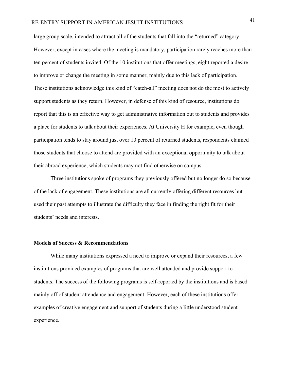## RE-ENTRY SUPPORT IN AMERICAN JESUIT INSTITUTIONS <sup>41</sup>

large group scale, intended to attract all of the students that fall into the "returned" category. However, except in cases where the meeting is mandatory, participation rarely reaches more than ten percent of students invited. Of the 10 institutions that offer meetings, eight reported a desire to improve or change the meeting in some manner, mainly due to this lack of participation. These institutions acknowledge this kind of "catch-all" meeting does not do the most to actively support students as they return. However, in defense of this kind of resource, institutions do report that this is an effective way to get administrative information out to students and provides a place for students to talk about their experiences. At University H for example, even though participation tends to stay around just over 10 percent of returned students, respondents claimed those students that choose to attend are provided with an exceptional opportunity to talk about their abroad experience, which students may not find otherwise on campus.

Three institutions spoke of programs they previously offered but no longer do so because of the lack of engagement. These institutions are all currently offering different resources but used their past attempts to illustrate the difficulty they face in finding the right fit for their students' needs and interests.

#### **Models of Success & Recommendations**

While many institutions expressed a need to improve or expand their resources, a few institutions provided examples of programs that are well attended and provide support to students. The success of the following programs is self-reported by the institutions and is based mainly off of student attendance and engagement. However, each of these institutions offer examples of creative engagement and support of students during a little understood student experience.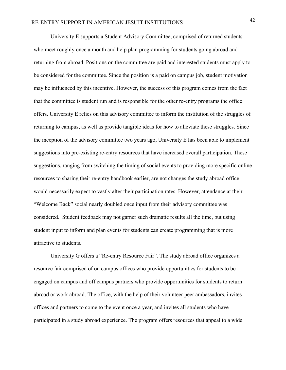University E supports a Student Advisory Committee, comprised of returned students who meet roughly once a month and help plan programming for students going abroad and returning from abroad. Positions on the committee are paid and interested students must apply to be considered for the committee. Since the position is a paid on campus job, student motivation may be influenced by this incentive. However, the success of this program comes from the fact that the committee is student run and is responsible for the other re-entry programs the office offers. University E relies on this advisory committee to inform the institution of the struggles of returning to campus, as well as provide tangible ideas for how to alleviate these struggles. Since the inception of the advisory committee two years ago, University E has been able to implement suggestions into pre-existing re-entry resources that have increased overall participation. These suggestions, ranging from switching the timing of social events to providing more specific online resources to sharing their re-entry handbook earlier, are not changes the study abroad office would necessarily expect to vastly alter their participation rates. However, attendance at their "Welcome Back" social nearly doubled once input from their advisory committee was considered. Student feedback may not garner such dramatic results all the time, but using student input to inform and plan events for students can create programming that is more attractive to students.

University G offers a "Re-entry Resource Fair". The study abroad office organizes a resource fair comprised of on campus offices who provide opportunities for students to be engaged on campus and off campus partners who provide opportunities for students to return abroad or work abroad. The office, with the help of their volunteer peer ambassadors, invites offices and partners to come to the event once a year, and invites all students who have participated in a study abroad experience. The program offers resources that appeal to a wide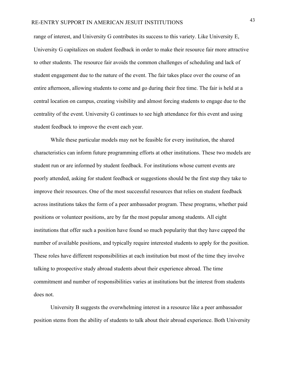range of interest, and University G contributes its success to this variety. Like University E, University G capitalizes on student feedback in order to make their resource fair more attractive to other students. The resource fair avoids the common challenges of scheduling and lack of student engagement due to the nature of the event. The fair takes place over the course of an entire afternoon, allowing students to come and go during their free time. The fair is held at a central location on campus, creating visibility and almost forcing students to engage due to the centrality of the event. University G continues to see high attendance for this event and using student feedback to improve the event each year.

While these particular models may not be feasible for every institution, the shared characteristics can inform future programming efforts at other institutions. These two models are student run or are informed by student feedback. For institutions whose current events are poorly attended, asking for student feedback or suggestions should be the first step they take to improve their resources. One of the most successful resources that relies on student feedback across institutions takes the form of a peer ambassador program. These programs, whether paid positions or volunteer positions, are by far the most popular among students. All eight institutions that offer such a position have found so much popularity that they have capped the number of available positions, and typically require interested students to apply for the position. These roles have different responsibilities at each institution but most of the time they involve talking to prospective study abroad students about their experience abroad. The time commitment and number of responsibilities varies at institutions but the interest from students does not.

University B suggests the overwhelming interest in a resource like a peer ambassador position stems from the ability of students to talk about their abroad experience. Both University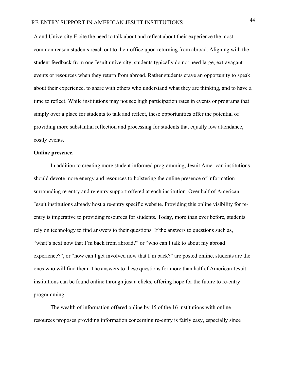A and University E cite the need to talk about and reflect about their experience the most common reason students reach out to their office upon returning from abroad. Aligning with the student feedback from one Jesuit university, students typically do not need large, extravagant events or resources when they return from abroad. Rather students crave an opportunity to speak about their experience, to share with others who understand what they are thinking, and to have a time to reflect. While institutions may not see high participation rates in events or programs that simply over a place for students to talk and reflect, these opportunities offer the potential of providing more substantial reflection and processing for students that equally low attendance, costly events.

#### **Online presence.**

In addition to creating more student informed programming, Jesuit American institutions should devote more energy and resources to bolstering the online presence of information surrounding re-entry and re-entry support offered at each institution. Over half of American Jesuit institutions already host a re-entry specific website. Providing this online visibility for reentry is imperative to providing resources for students. Today, more than ever before, students rely on technology to find answers to their questions. If the answers to questions such as, "what's next now that I'm back from abroad?" or "who can I talk to about my abroad experience?", or "how can I get involved now that I'm back?" are posted online, students are the ones who will find them. The answers to these questions for more than half of American Jesuit institutions can be found online through just a clicks, offering hope for the future to re-entry programming.

The wealth of information offered online by 15 of the 16 institutions with online resources proposes providing information concerning re-entry is fairly easy, especially since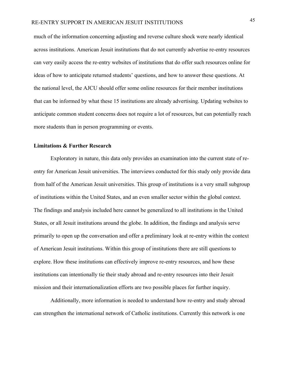much of the information concerning adjusting and reverse culture shock were nearly identical across institutions. American Jesuit institutions that do not currently advertise re-entry resources can very easily access the re-entry websites of institutions that do offer such resources online for ideas of how to anticipate returned students' questions, and how to answer these questions. At the national level, the AJCU should offer some online resources for their member institutions that can be informed by what these 15 institutions are already advertising. Updating websites to anticipate common student concerns does not require a lot of resources, but can potentially reach more students than in person programming or events.

#### **Limitations & Further Research**

Exploratory in nature, this data only provides an examination into the current state of reentry for American Jesuit universities. The interviews conducted for this study only provide data from half of the American Jesuit universities. This group of institutions is a very small subgroup of institutions within the United States, and an even smaller sector within the global context. The findings and analysis included here cannot be generalized to all institutions in the United States, or all Jesuit institutions around the globe. In addition, the findings and analysis serve primarily to open up the conversation and offer a preliminary look at re-entry within the context of American Jesuit institutions. Within this group of institutions there are still questions to explore. How these institutions can effectively improve re-entry resources, and how these institutions can intentionally tie their study abroad and re-entry resources into their Jesuit mission and their internationalization efforts are two possible places for further inquiry.

Additionally, more information is needed to understand how re-entry and study abroad can strengthen the international network of Catholic institutions. Currently this network is one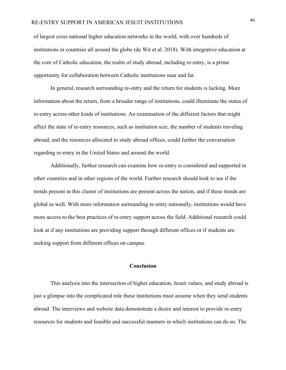of largest cross national higher education networks in the world, with over hundreds of institutions in countries all around the globe (de Wit et al. 2018). With integrative education at the core of Catholic education, the realm of study abroad, including re-entry, is a prime opportunity for collaboration between Catholic institutions near and far.

In general, research surrounding re-entry and the return for students is lacking. More information about the return, from a broader range of institutions, could illuminate the status of re-entry across other kinds of institutions. An examination of the different factors that might affect the state of re-entry resources, such as institution size, the number of students traveling abroad, and the resources allocated to study abroad offices, could further the conversation regarding re-entry in the United States and around the world.

Additionally, further research can examine how re-entry is considered and supported in other countries and in other regions of the world. Further research should look to see if the trends present in this cluster of institutions are present across the nation, and if these trends are global as well. With more information surrounding re-entry nationally, institutions would have more access to the best practices of re-entry support across the field. Additional research could look at if any institutions are providing support through different offices or if students are seeking support from different offices on campus.

#### **Conclusion**

This analysis into the intersection of higher education, Jesuit values, and study abroad is just a glimpse into the complicated role these institutions must assume when they send students abroad. The interviews and website data demonstrate a desire and interest to provide re-entry resources for students and feasible and successful manners in which institutions can do so. The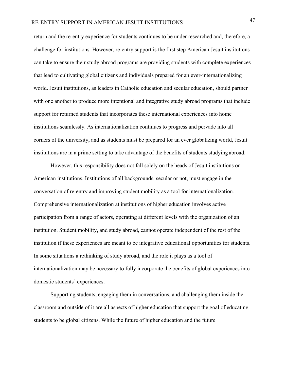return and the re-entry experience for students continues to be under researched and, therefore, a challenge for institutions. However, re-entry support is the first step American Jesuit institutions can take to ensure their study abroad programs are providing students with complete experiences that lead to cultivating global citizens and individuals prepared for an ever-internationalizing world. Jesuit institutions, as leaders in Catholic education and secular education, should partner with one another to produce more intentional and integrative study abroad programs that include support for returned students that incorporates these international experiences into home institutions seamlessly. As internationalization continues to progress and pervade into all corners of the university, and as students must be prepared for an ever globalizing world, Jesuit institutions are in a prime setting to take advantage of the benefits of students studying abroad.

However, this responsibility does not fall solely on the heads of Jesuit institutions or American institutions. Institutions of all backgrounds, secular or not, must engage in the conversation of re-entry and improving student mobility as a tool for internationalization. Comprehensive internationalization at institutions of higher education involves active participation from a range of actors, operating at different levels with the organization of an institution. Student mobility, and study abroad, cannot operate independent of the rest of the institution if these experiences are meant to be integrative educational opportunities for students. In some situations a rethinking of study abroad, and the role it plays as a tool of internationalization may be necessary to fully incorporate the benefits of global experiences into domestic students' experiences.

Supporting students, engaging them in conversations, and challenging them inside the classroom and outside of it are all aspects of higher education that support the goal of educating students to be global citizens. While the future of higher education and the future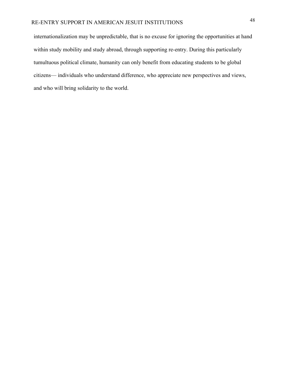internationalization may be unpredictable, that is no excuse for ignoring the opportunities at hand within study mobility and study abroad, through supporting re-entry. During this particularly tumultuous political climate, humanity can only benefit from educating students to be global citizens— individuals who understand difference, who appreciate new perspectives and views, and who will bring solidarity to the world.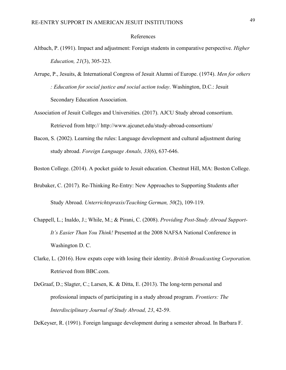#### References

- Altbach, P. (1991). Impact and adjustment: Foreign students in comparative perspective. *Higher Education, 21*(3), 305-323.
- Arrupe, P., Jesuits, & International Congress of Jesuit Alumni of Europe. (1974). *Men for others : Education for social justice and social action today*. Washington, D.C.: Jesuit Secondary Education Association.
- Association of Jesuit Colleges and Universities. (2017). AJCU Study abroad consortium. Retrieved from http:// http://www.ajcunet.edu/study-abroad-consortium/
- Bacon, S. (2002). Learning the rules: Language development and cultural adjustment during study abroad. *Foreign Language Annals, 33*(6), 637-646.
- Boston College. (2014). A pocket guide to Jesuit education. Chestnut Hill, MA: Boston College.
- Brubaker, C. (2017). Re-Thinking Re-Entry: New Approaches to Supporting Students after Study Abroad. *Unterrichtspraxis/Teaching German, 50*(2), 109-119.
- Chappell, L.; Inaldo, J.; While, M.; & Pirani, C. (2008). *Providing Post-Study Abroad Support-It's Easier Than You Think!* Presented at the 2008 NAFSA National Conference in Washington D. C.
- Clarke, L. (2016). How expats cope with losing their identity. *British Broadcasting Corporation.* Retrieved from BBC.com.
- DeGraaf, D.; Slagter, C.; Larsen, K. & Ditta, E. (2013). The long-term personal and professional impacts of participating in a study abroad program. *Frontiers: The Interdisciplinary Journal of Study Abroad, 23*, 42-59.

DeKeyser, R. (1991). Foreign language development during a semester abroad. In Barbara F.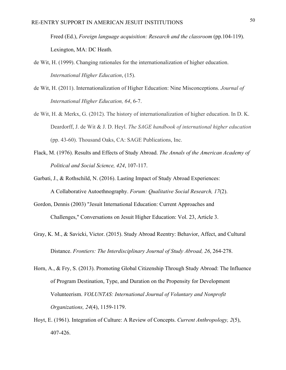Freed (Ed.), *Foreign language acquisition: Research and the classroom* (pp.104-119). Lexington, MA: DC Heath.

- de Wit, H. (1999). Changing rationales for the internationalization of higher education. *International Higher Education*, (15).
- de Wit, H. (2011). Internationalization of Higher Education: Nine Misconceptions. *Journal of International Higher Education, 64*, 6-7.
- de Wit, H. & Merkx, G. (2012). The history of internationalization of higher education. In D. K. Deardorff, J. de Wit & J. D. Heyl. *The SAGE handbook of international higher education*  (pp. 43-60). Thousand Oaks, CA: SAGE Publications, Inc.
- Flack, M. (1976). Results and Effects of Study Abroad. *The Annals of the American Academy of Political and Social Science, 424*, 107-117.
- Garbati, J., & Rothschild, N. (2016). Lasting Impact of Study Abroad Experiences: A Collaborative Autoethnography. *Forum: Qualitative Social Research, 17*(2).
- Gordon, Dennis (2003) "Jesuit International Education: Current Approaches and Challenges," Conversations on Jesuit Higher Education: Vol. 23, Article 3.
- Gray, K. M., & Savicki, Victor. (2015). Study Abroad Reentry: Behavior, Affect, and Cultural Distance. *Frontiers: The Interdisciplinary Journal of Study Abroad, 26*, 264-278.
- Horn, A., & Fry, S. (2013). Promoting Global Citizenship Through Study Abroad: The Influence of Program Destination, Type, and Duration on the Propensity for Development Volunteerism. *VOLUNTAS: International Journal of Voluntary and Nonprofit Organizations, 24*(4), 1159-1179.
- Hoyt, E. (1961). Integration of Culture: A Review of Concepts. *Current Anthropology, 2*(5), 407-426.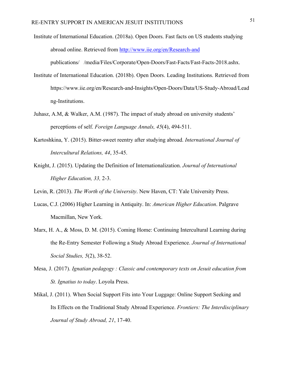Institute of International Education. (2018a). Open Doors. Fast facts on US students studying abroad online. Retrieved from http://www.iie.org/en/Research-and publications//media/Files/Corporate/Open-Doors/Fast-Facts/Fast-Facts-2018.ashx.

- Institute of International Education. (2018b). Open Doors. Leading Institutions. Retrieved from https://www.iie.org/en/Research-and-Insights/Open-Doors/Data/US-Study-Abroad/Lead ng-Institutions.
- Juhasz, A.M, & Walker, A.M. (1987). The impact of study abroad on university students' perceptions of self. *Foreign Language Annals, 45*(4), 494-511.
- Kartoshkina, Y. (2015). Bitter-sweet reentry after studying abroad. *International Journal of Intercultural Relations, 44*, 35-45.
- Knight, J. (2015). Updating the Definition of Internationalization. *Journal of International Higher Education, 33,* 2-3.
- Levin, R. (2013). *The Worth of the University*. New Haven, CT: Yale University Press.
- Lucas, C.J. (2006) Higher Learning in Antiquity. In: *American Higher Education*. Palgrave Macmillan, New York.
- Marx, H. A., & Moss, D. M. (2015). Coming Home: Continuing Intercultural Learning during the Re-Entry Semester Following a Study Abroad Experience. *Journal of International Social Studies, 5*(2), 38-52.
- Mesa, J. (2017). *Ignatian pedagogy : Classic and contemporary texts on Jesuit education from St. Ignatius to today*. Loyola Press.
- Mikal, J. (2011). When Social Support Fits into Your Luggage: Online Support Seeking and Its Effects on the Traditional Study Abroad Experience. *Frontiers: The Interdisciplinary Journal of Study Abroad, 21*, 17-40.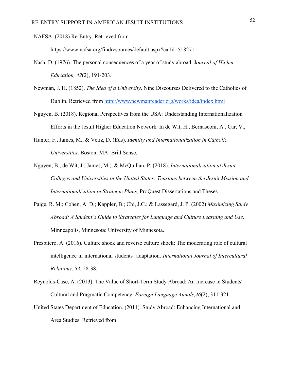NAFSA. (2018) Re-Entry. Retrieved from

https://www.nafsa.org/findresources/default.aspx?catId=518271

- Nash, D. (1976). The personal consequences of a year of study abroad. J*ournal of Higher Education, 42*(2), 191-203.
- Newman, J. H. (1852). *The Idea of a University*. Nine Discourses Delivered to the Catholics of Dublin. Retrieved from http://www.newmanreader.org/works/idea/index.html
- Nguyen, B. (2018). Regional Perspectives from the USA: Understanding Internationalization Efforts in the Jesuit Higher Education Network. In de Wit, H., Bernasconi, A., Car, V.,
- Hunter, F., James, M., & Veliz, D. (Eds). *Identity and Internationalization in Catholic Universities*. Boston, MA: Brill Sense.
- Nguyen, B.; de Wit, J.; James, M.;, & McQuillan, P. (2018). *Internationalization at Jesuit Colleges and Universities in the United States: Tensions between the Jesuit Mission and Internationalization in Strategic Plans,* ProQuest Dissertations and Theses.
- Paige, R. M.; Cohen, A. D.; Kappler, B.; Chi, J.C.; & Lassegard, J. P. (2002) *Maximizing Study Abroad: A Student's Guide to Strategies for Language and Culture Learning and Use.*  Minneapolis, Minnesota: University of Minnesota.
- Presbitero, A. (2016). Culture shock and reverse culture shock: The moderating role of cultural intelligence in international students' adaptation. *International Journal of Intercultural Relations, 53*, 28-38.
- Reynolds-Case, A. (2013). The Value of Short-Term Study Abroad: An Increase in Students' Cultural and Pragmatic Competency. *Foreign Language Annals,46*(2), 311-321.
- United States Department of Education. (2011). Study Abroad: Enhancing International and Area Studies. Retrieved from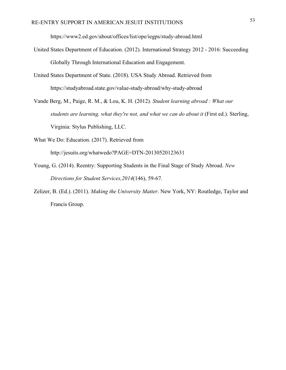https://www2.ed.gov/about/offices/list/ope/iegps/study-abroad.html

- United States Department of Education. (2012). International Strategy 2012 2016: Succeeding Globally Through International Education and Engagement.
- United States Department of State. (2018). USA Study Abroad. Retrieved from https://studyabroad.state.gov/value-study-abroad/why-study-abroad
- Vande Berg, M., Paige, R. M., & Lou, K. H. (2012). *Student learning abroad : What our students are learning, what they're not, and what we can do about it (First ed.). Sterling,* Virginia: Stylus Publishing, LLC.
- What We Do: Education. (2017). Retrieved from

http://jesuits.org/whatwedo?PAGE=DTN-20130520123631

- Young, G. (2014). Reentry: Supporting Students in the Final Stage of Study Abroad. *New Directions for Student Services,2014*(146), 59-67.
- Zelizer, B. (Ed.). (2011). *Making the University Matter*. New York, NY: Routledge, Taylor and Francis Group.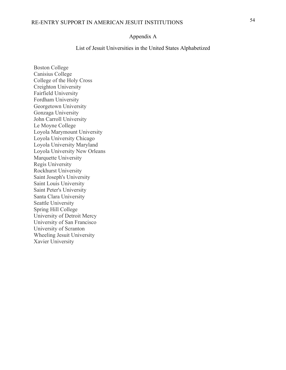## RE-ENTRY SUPPORT IN AMERICAN JESUIT INSTITUTIONS <sup>54</sup>

#### Appendix A

List of Jesuit Universities in the United States Alphabetized

Boston College Canisius College College of the Holy Cross Creighton University Fairfield University Fordham University Georgetown University Gonzaga University John Carroll University Le Moyne College Loyola Marymount University Loyola University Chicago Loyola University Maryland Loyola University New Orleans Marquette University Regis University Rockhurst University Saint Joseph's University Saint Louis University Saint Peter's University Santa Clara University Seattle University Spring Hill College University of Detroit Mercy University of San Francisco University of Scranton Wheeling Jesuit University Xavier University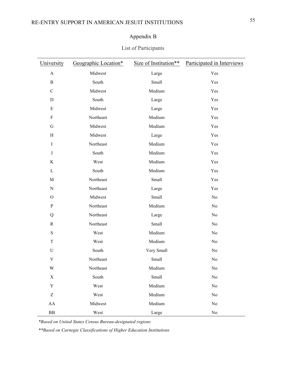### Appendix B

#### List of Participants

| University                | Geographic Location* | Size of Institution** | Participated in Interviews |
|---------------------------|----------------------|-----------------------|----------------------------|
| $\boldsymbol{\mathsf{A}}$ | Midwest              | Large                 | Yes                        |
| $\, {\bf B}$              | South                | Small                 | Yes                        |
| $\mathbf C$               | Midwest              | Medium                | Yes                        |
| ${\bf D}$                 | South                | Large                 | Yes                        |
| ${\bf E}$                 | Midwest              | Large                 | Yes                        |
| ${\bf F}$                 | Northeast            | Medium                | Yes                        |
| G                         | Midwest              | Medium                | Yes                        |
| H                         | Midwest              | Large                 | Yes                        |
| $\rm I$                   | Northeast            | Medium                | Yes                        |
| $\bf J$                   | South                | Medium                | Yes                        |
| $\rm K$                   | West                 | Medium                | Yes                        |
| $\mathbf L$               | South                | Medium                | Yes                        |
| $\mathbf M$               | Northeast            | Small                 | Yes                        |
| ${\bf N}$                 | Northeast            | Large                 | Yes                        |
| $\mathcal{O}$             | Midwest              | Small                 | $\rm No$                   |
| ${\bf P}$                 | Northeast            | Medium                | No                         |
| Q                         | Northeast            | Large                 | No                         |
| $\mathbf R$               | Northeast            | Small                 | No                         |
| ${\bf S}$                 | West                 | Medium                | No                         |
| T                         | West                 | Medium                | No                         |
| $\mathbf U$               | South                | Very Small            | No                         |
| $\mathbf V$               | Northeast            | Small                 | $\rm No$                   |
| W                         | Northeast            | Medium                | $\rm No$                   |
| X                         | South                | Small                 | No                         |
| $\mathbf Y$               | West                 | Medium                | No                         |
| Z                         | West                 | Medium                | No                         |
| AA                        | Midwest              | Medium                | No                         |
| ${\bf BB}$                | West                 | Large                 | No                         |

*\*Based on United States Census Bureau-designated regions*

*\*\*Based on Carnegie Classifications of Higher Education Institutions*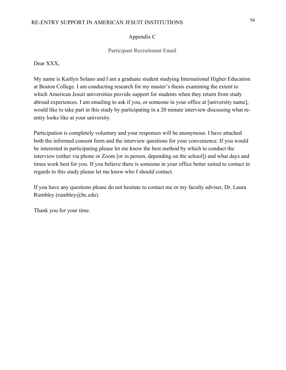#### Appendix C

#### Participant Recruitment Email

Dear XXX,

My name is Kaitlyn Solano and I am a graduate student studying International Higher Education at Boston College. I am conducting research for my master's thesis examining the extent to which American Jesuit universities provide support for students when they return from study abroad experiences. I am emailing to ask if you, or someone in your office at [university name], would like to take part in this study by participating in a 20 minute interview discussing what reentry looks like at your university.

Participation is completely voluntary and your responses will be anonymous. I have attached both the informed consent form and the interview questions for your convenience. If you would be interested in participating please let me know the best method by which to conduct the interview (either via phone or Zoom [or in person, depending on the school]) and what days and times work best for you. If you believe there is someone in your office better suited to contact in regards to this study please let me know who I should contact.

If you have any questions please do not hesitate to contact me or my faculty adviser, Dr. Laura Rumbley (rumbley@bc.edu).

Thank you for your time.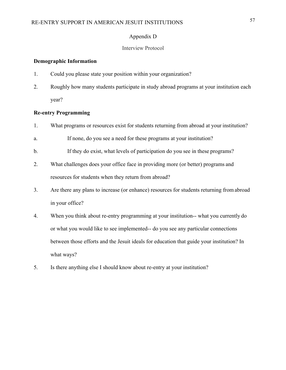#### Appendix D

#### Interview Protocol

#### **Demographic Information**

- 1. Could you please state your position within your organization?
- 2. Roughly how many students participate in study abroad programs at your institution each year?

#### **Re-entry Programming**

- 1. What programs or resources exist for students returning from abroad at your institution?
- a. If none, do you see a need for these programs at your institution?
- b. If they do exist, what levels of participation do you see in these programs?
- 2. What challenges does your office face in providing more (or better) programs and resources for students when they return from abroad?
- 3. Are there any plans to increase (or enhance) resources for students returning fromabroad in your office?
- 4. When you think about re-entry programming at your institution-- what you currently do or what you would like to see implemented-- do you see any particular connections between those efforts and the Jesuit ideals for education that guide your institution? In what ways?
- 5. Is there anything else I should know about re-entry at your institution?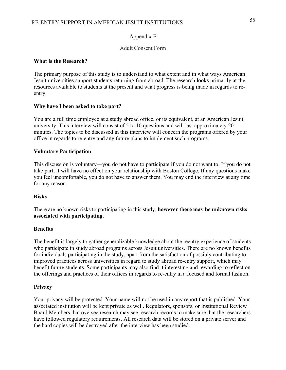#### Appendix E

#### Adult Consent Form

#### **What is the Research?**

The primary purpose of this study is to understand to what extent and in what ways American Jesuit universities support students returning from abroad. The research looks primarily at the resources available to students at the present and what progress is being made in regards to reentry.

#### **Why have I been asked to take part?**

You are a full time employee at a study abroad office, or its equivalent, at an American Jesuit university. This interview will consist of 5 to 10 questions and will last approximately 20 minutes. The topics to be discussed in this interview will concern the programs offered by your office in regards to re-entry and any future plans to implement such programs.

#### **Voluntary Participation**

This discussion is voluntary—you do not have to participate if you do not want to. If you do not take part, it will have no effect on your relationship with Boston College. If any questions make you feel uncomfortable, you do not have to answer them. You may end the interview at any time for any reason.

#### **Risks**

There are no known risks to participating in this study, **however there may be unknown risks associated with participating.**

#### **Benefits**

The benefit is largely to gather generalizable knowledge about the reentry experience of students who participate in study abroad programs across Jesuit universities. There are no known benefits for individuals participating in the study, apart from the satisfaction of possibly contributing to improved practices across universities in regard to study abroad re-entry support, which may benefit future students. Some participants may also find it interesting and rewarding to reflect on the offerings and practices of their offices in regards to re-entry in a focused and formal fashion.

#### **Privacy**

Your privacy will be protected. Your name will not be used in any report that is published. Your associated institution will be kept private as well. Regulators, sponsors, or Institutional Review Board Members that oversee research may see research records to make sure that the researchers have followed regulatory requirements. All research data will be stored on a private server and the hard copies will be destroyed after the interview has been studied.